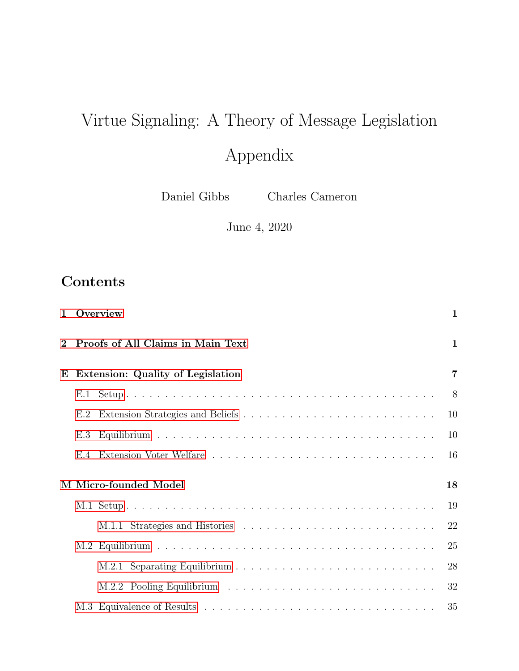# Virtue Signaling: A Theory of Message Legislation Appendix

Daniel Gibbs Charles Cameron

June 4, 2020

# Contents

|             |                                     | 1 Overview                        | $\mathbf{1}$ |
|-------------|-------------------------------------|-----------------------------------|--------------|
| $\mathbf 2$ |                                     | Proofs of All Claims in Main Text | $\mathbf{1}$ |
|             | E Extension: Quality of Legislation |                                   |              |
|             | E.1                                 |                                   | 8            |
|             | E.2                                 |                                   | 10           |
|             | E.3                                 |                                   | 10           |
|             |                                     |                                   | 16           |
|             | M Micro-founded Model               |                                   |              |
|             |                                     |                                   | 19           |
|             |                                     |                                   | 22           |
|             |                                     |                                   | 25           |
|             |                                     |                                   | 28           |
|             |                                     |                                   | 32           |
|             |                                     |                                   | 35           |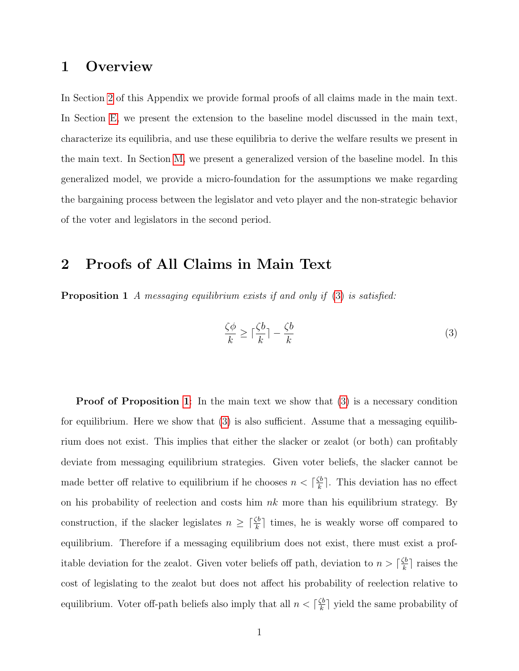# <span id="page-1-0"></span>1 Overview

In Section [2](#page-1-1) of this Appendix we provide formal proofs of all claims made in the main text. In Section [E,](#page-7-0) we present the extension to the baseline model discussed in the main text, characterize its equilibria, and use these equilibria to derive the welfare results we present in the main text. In Section [M,](#page-18-0) we present a generalized version of the baseline model. In this generalized model, we provide a micro-foundation for the assumptions we make regarding the bargaining process between the legislator and veto player and the non-strategic behavior of the voter and legislators in the second period.

# <span id="page-1-1"></span>2 Proofs of All Claims in Main Text

<span id="page-1-3"></span>Proposition 1 A messaging equilibrium exists if and only if [\(3\)](#page-1-2) is satisfied:

<span id="page-1-2"></span>
$$
\frac{\zeta \phi}{k} \ge \lceil \frac{\zeta b}{k} \rceil - \frac{\zeta b}{k} \tag{3}
$$

**Proof of Proposition [1](#page-1-2)**: In the main text we show that [\(3\)](#page-1-2) is a necessary condition for equilibrium. Here we show that  $(3)$  is also sufficient. Assume that a messaging equilibrium does not exist. This implies that either the slacker or zealot (or both) can profitably deviate from messaging equilibrium strategies. Given voter beliefs, the slacker cannot be made better off relative to equilibrium if he chooses  $n < \lceil \frac{\zeta b}{k} \rceil$  $\frac{\zeta b}{k}$ . This deviation has no effect on his probability of reelection and costs him  $nk$  more than his equilibrium strategy. By construction, if the slacker legislates  $n \geq \lceil \frac{\zeta b}{k} \rceil$  times, he is weakly worse off compared to equilibrium. Therefore if a messaging equilibrium does not exist, there must exist a profitable deviation for the zealot. Given voter beliefs off path, deviation to  $n > \lceil \frac{\zeta b}{k} \rceil$  $\frac{\zeta b}{k}$  raises the cost of legislating to the zealot but does not affect his probability of reelection relative to equilibrium. Voter off-path beliefs also imply that all  $n < \lceil \frac{\zeta b}{k} \rceil$  $\frac{\zeta b}{k}$  yield the same probability of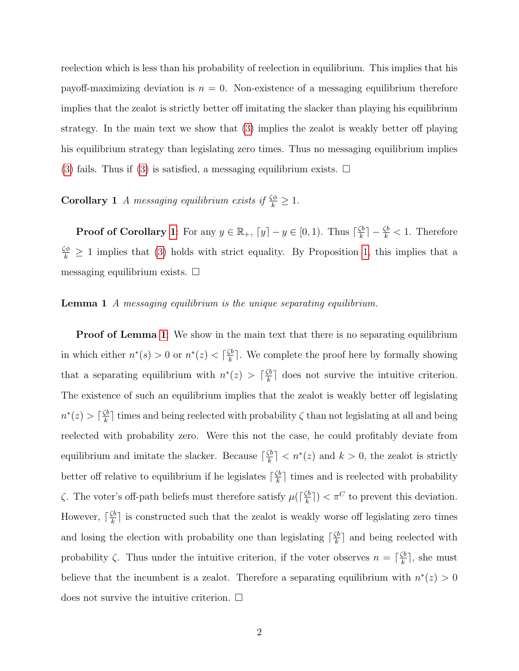reelection which is less than his probability of reelection in equilibrium. This implies that his payoff-maximizing deviation is  $n = 0$ . Non-existence of a messaging equilibrium therefore implies that the zealot is strictly better off imitating the slacker than playing his equilibrium strategy. In the main text we show that [\(3\)](#page-1-2) implies the zealot is weakly better off playing his equilibrium strategy than legislating zero times. Thus no messaging equilibrium implies [\(3\)](#page-1-2) fails. Thus if [\(3\)](#page-1-2) is satisfied, a messaging equilibrium exists.  $\Box$ 

<span id="page-2-0"></span>**Corollary 1** A messaging equilibrium exists if  $\frac{\zeta\phi}{k} \geq 1$ .

**Proof of Corollary [1](#page-2-0)**: For any  $y \in \mathbb{R}_+$ ,  $[y] - y \in [0, 1)$ . Thus  $\lceil \frac{\zeta b}{k} \rceil$  $\left(\frac{k}{k}\right]-\frac{\zeta b}{k}<1.$  Therefore  $\frac{\zeta\phi}{k} \geq 1$  implies that [\(3\)](#page-1-2) holds with strict equality. By Proposition [1,](#page-1-2) this implies that a messaging equilibrium exists.  $\square$ 

#### <span id="page-2-1"></span>**Lemma 1** A messaging equilibrium is the unique separating equilibrium.

<span id="page-2-2"></span>**Proof of Lemma [1](#page-2-1)**: We show in the main text that there is no separating equilibrium in which either  $n^*(s) > 0$  or  $n^*(z) < \lceil \frac{\zeta b}{k} \rceil$  $\frac{\zeta_b}{k}$ . We complete the proof here by formally showing that a separating equilibrium with  $n^*(z) > \lceil \frac{\zeta b}{k} \rceil$  $\frac{\zeta b}{k}$  does not survive the intuitive criterion. The existence of such an equilibrium implies that the zealot is weakly better off legislating  $n^*(z) > \lceil \frac{\zeta b}{k} \rceil$  $\frac{k}{k}$  times and being reelected with probability  $\zeta$  than not legislating at all and being reelected with probability zero. Were this not the case, he could profitably deviate from equilibrium and imitate the slacker. Because  $\lceil \frac{\zeta b}{k} \rceil$  $\left|\frac{\zeta b}{k}\right|$  <  $n^*(z)$  and  $k > 0$ , the zealot is strictly better off relative to equilibrium if he legislates  $\lceil \frac{\zeta b}{k} \rceil$  $\frac{\zeta b}{k}$  times and is reelected with probability  $\zeta$ . The voter's off-path beliefs must therefore satisfy  $\mu(\lceil \frac{\zeta b}{k} \rceil)$  $(\frac{\zeta b}{k})$  <  $\pi^C$  to prevent this deviation. However,  $\lceil \frac{\zeta b}{k} \rceil$  $\frac{k}{k}$  is constructed such that the zealot is weakly worse off legislating zero times and losing the election with probability one than legislating  $\lceil \frac{\zeta b}{k} \rceil$  $\frac{\mathcal{L}b}{k}$  and being reelected with probability  $\zeta$ . Thus under the intuitive criterion, if the voter observes  $n = \lceil \frac{\zeta b}{k} \rceil$  $\frac{\zeta b}{k}$ , she must believe that the incumbent is a zealot. Therefore a separating equilibrium with  $n^*(z) > 0$ does not survive the intuitive criterion.  $\Box$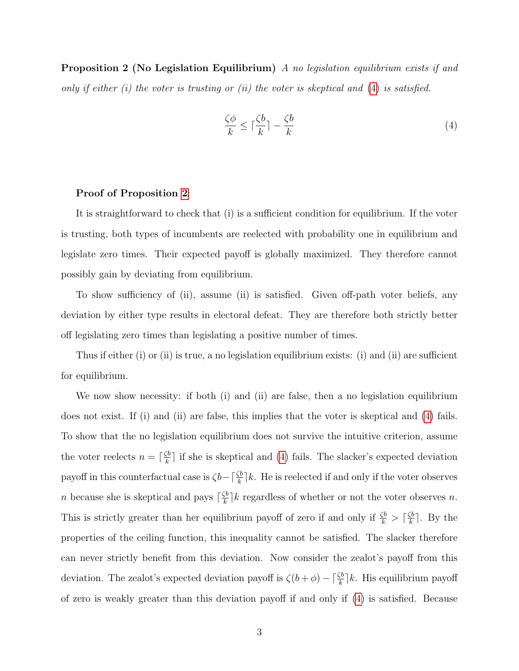Proposition 2 (No Legislation Equilibrium) A no legislation equilibrium exists if and only if either  $(i)$  the voter is trusting or  $(ii)$  the voter is skeptical and  $(4)$  is satisfied.

<span id="page-3-0"></span>
$$
\frac{\zeta \phi}{k} \le \lceil \frac{\zeta b}{k} \rceil - \frac{\zeta b}{k} \tag{4}
$$

#### Proof of Proposition [2](#page-3-0):

It is straightforward to check that (i) is a sufficient condition for equilibrium. If the voter is trusting, both types of incumbents are reelected with probability one in equilibrium and legislate zero times. Their expected payoff is globally maximized. They therefore cannot possibly gain by deviating from equilibrium.

To show sufficiency of (ii), assume (ii) is satisfied. Given off-path voter beliefs, any deviation by either type results in electoral defeat. They are therefore both strictly better off legislating zero times than legislating a positive number of times.

Thus if either (i) or (ii) is true, a no legislation equilibrium exists: (i) and (ii) are sufficient for equilibrium.

We now show necessity: if both (i) and (ii) are false, then a no legislation equilibrium does not exist. If (i) and (ii) are false, this implies that the voter is skeptical and [\(4\)](#page-3-0) fails. To show that the no legislation equilibrium does not survive the intuitive criterion, assume the voter reelects  $n = \lceil \frac{\zeta b}{k} \rceil$  $\frac{k}{k}$  if she is skeptical and [\(4\)](#page-3-0) fails. The slacker's expected deviation payoff in this counterfactual case is  $\zeta b - \lceil \frac{\zeta b}{k} \rceil k$ . He is reelected if and only if the voter observes *n* because she is skeptical and pays  $\lceil \frac{\zeta b}{k} \rceil$  $\frac{k}{k}$ <sup>b</sup>/ $k$  regardless of whether or not the voter observes *n*. This is strictly greater than her equilibrium payoff of zero if and only if  $\frac{\zeta b}{k} > \lceil \frac{\zeta b}{k} \rceil$  $\frac{\zeta b}{k}$ . By the properties of the ceiling function, this inequality cannot be satisfied. The slacker therefore can never strictly benefit from this deviation. Now consider the zealot's payoff from this deviation. The zealot's expected deviation payoff is  $\zeta(b+\phi) - \lceil \frac{\zeta b}{k} \rceil k$ . His equilibrium payoff of zero is weakly greater than this deviation payoff if and only if [\(4\)](#page-3-0) is satisfied. Because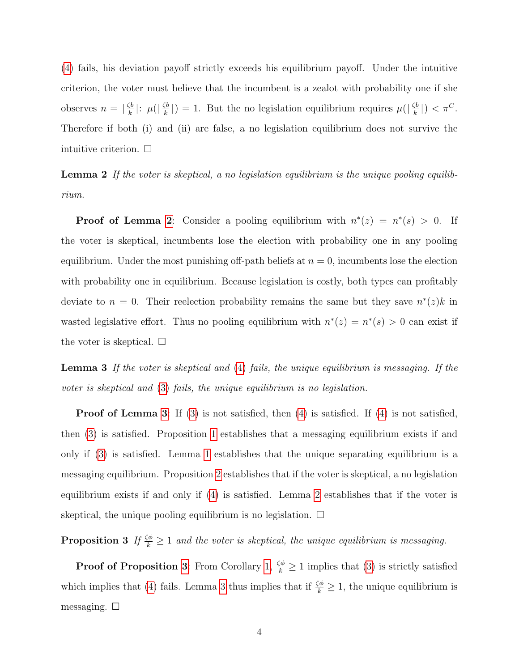[\(4\)](#page-3-0) fails, his deviation payoff strictly exceeds his equilibrium payoff. Under the intuitive criterion, the voter must believe that the incumbent is a zealot with probability one if she observes  $n = \lceil \frac{\zeta b}{k} \rceil$  $\frac{\zeta b}{k}$ ]:  $\mu$ ( $\lceil \frac{\zeta b}{k} \rceil$  $(\frac{\zeta b}{k})$  = 1. But the no legislation equilibrium requires  $\mu(\lceil \frac{\zeta b}{k} \rceil)$  $(\frac{\zeta b}{k})$  >  $\tau^C$ . Therefore if both (i) and (ii) are false, a no legislation equilibrium does not survive the intuitive criterion.  $\square$ 

<span id="page-4-0"></span>Lemma 2 If the voter is skeptical, a no legislation equilibrium is the unique pooling equilibrium.

**Proof of Lemma [2](#page-4-0)**: Consider a pooling equilibrium with  $n^*(z) = n^*(s) > 0$ . If the voter is skeptical, incumbents lose the election with probability one in any pooling equilibrium. Under the most punishing off-path beliefs at  $n = 0$ , incumbents lose the election with probability one in equilibrium. Because legislation is costly, both types can profitably deviate to  $n = 0$ . Their reelection probability remains the same but they save  $n^*(z)k$  in wasted legislative effort. Thus no pooling equilibrium with  $n^*(z) = n^*(s) > 0$  can exist if the voter is skeptical.  $\square$ 

<span id="page-4-1"></span>Lemma 3 If the voter is skeptical and [\(4\)](#page-3-0) fails, the unique equilibrium is messaging. If the voter is skeptical and [\(3\)](#page-1-2) fails, the unique equilibrium is no legislation.

**Proof of Lemma [3](#page-4-1)**: If  $(3)$  is not satisfied, then  $(4)$  is satisfied. If  $(4)$  is not satisfied, then [\(3\)](#page-1-2) is satisfied. Proposition [1](#page-1-2) establishes that a messaging equilibrium exists if and only if [\(3\)](#page-1-2) is satisfied. Lemma [1](#page-2-1) establishes that the unique separating equilibrium is a messaging equilibrium. Proposition [2](#page-3-0) establishes that if the voter is skeptical, a no legislation equilibrium exists if and only if [\(4\)](#page-3-0) is satisfied. Lemma [2](#page-4-0) establishes that if the voter is skeptical, the unique pooling equilibrium is no legislation.  $\Box$ 

<span id="page-4-2"></span>**Proposition 3** If  $\frac{\zeta\phi}{k} \geq 1$  and the voter is skeptical, the unique equilibrium is messaging.

<span id="page-4-3"></span>**Proof of Proposition [3](#page-4-2)**: From Corollary [1,](#page-2-0)  $\frac{\zeta\phi}{k} \geq 1$  implies that [\(3\)](#page-1-2) is strictly satisfied which implies that [\(4\)](#page-3-0) fails. Lemma [3](#page-4-1) thus implies that if  $\frac{\zeta \phi}{k} \geq 1$ , the unique equilibrium is messaging.  $\square$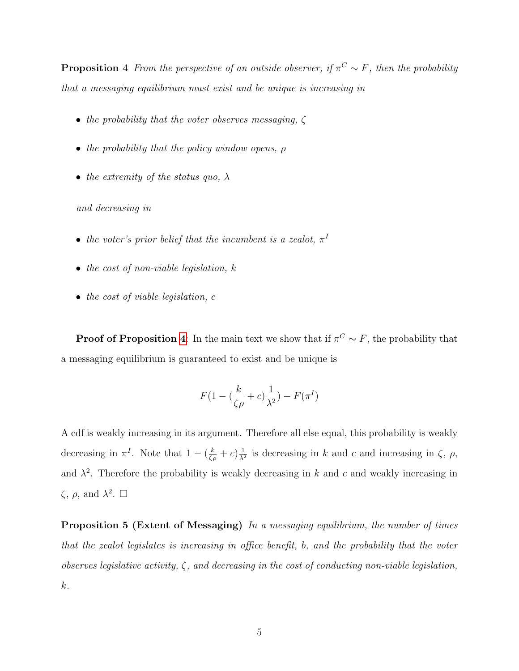**Proposition 4** From the perspective of an outside observer, if  $\pi^C \sim F$ , then the probability that a messaging equilibrium must exist and be unique is increasing in

- the probability that the voter observes messaging,  $\zeta$
- the probability that the policy window opens,  $\rho$
- the extremity of the status quo,  $\lambda$

and decreasing in

- the voter's prior belief that the incumbent is a zealot,  $\pi^I$
- the cost of non-viable legislation,  $k$
- the cost of viable legislation, c

**Proof of Proposition [4](#page-4-3):** In the main text we show that if  $\pi^C \sim F$ , the probability that a messaging equilibrium is guaranteed to exist and be unique is

$$
F(1 - (\frac{k}{\zeta\rho} + c)\frac{1}{\lambda^2}) - F(\pi^I)
$$

A cdf is weakly increasing in its argument. Therefore all else equal, this probability is weakly decreasing in  $\pi^I$ . Note that  $1 - (\frac{k}{\zeta \rho} + c) \frac{1}{\lambda^2}$  $\frac{1}{\lambda^2}$  is decreasing in k and c and increasing in  $\zeta$ ,  $\rho$ , and  $\lambda^2$ . Therefore the probability is weakly decreasing in k and c and weakly increasing in  $\zeta$ ,  $\rho$ , and  $\lambda^2$ .  $\square$ 

<span id="page-5-0"></span>Proposition 5 (Extent of Messaging) In a messaging equilibrium, the number of times that the zealot legislates is increasing in office benefit, b, and the probability that the voter observes legislative activity,  $\zeta$ , and decreasing in the cost of conducting non-viable legislation, k.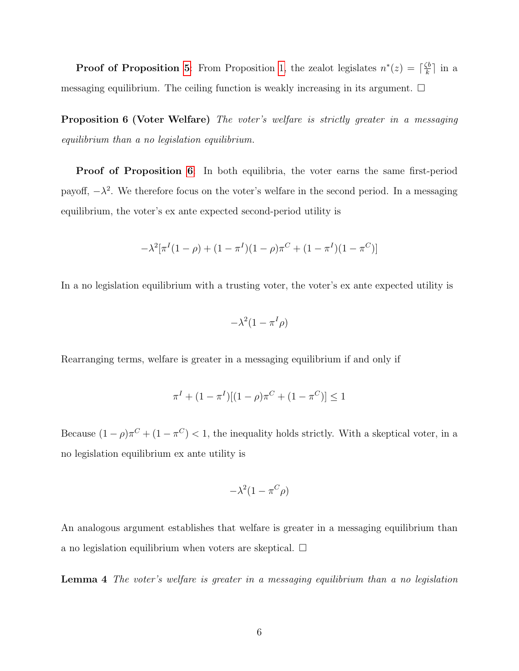**Proof of Proposition [5](#page-5-0):** From Proposition [1,](#page-1-2) the zealot legislates  $n^*(z) = \lceil \frac{\zeta b}{k} \rceil$  $\frac{\zeta b}{k}$  in a messaging equilibrium. The ceiling function is weakly increasing in its argument.  $\Box$ 

<span id="page-6-0"></span>Proposition 6 (Voter Welfare) The voter's welfare is strictly greater in a messaging equilibrium than a no legislation equilibrium.

Proof of Proposition [6](#page-6-0): In both equilibria, the voter earns the same first-period payoff,  $-\lambda^2$ . We therefore focus on the voter's welfare in the second period. In a messaging equilibrium, the voter's ex ante expected second-period utility is

$$
-\lambda^2[\pi^I(1-\rho) + (1-\pi^I)(1-\rho)\pi^C + (1-\pi^I)(1-\pi^C)]
$$

In a no legislation equilibrium with a trusting voter, the voter's ex ante expected utility is

$$
-\lambda^2(1-\pi^I\rho)
$$

Rearranging terms, welfare is greater in a messaging equilibrium if and only if

$$
\pi^{I} + (1 - \pi^{I})[(1 - \rho)\pi^{C} + (1 - \pi^{C})] \le 1
$$

Because  $(1 - \rho)\pi^C + (1 - \pi^C) < 1$ , the inequality holds strictly. With a skeptical voter, in a no legislation equilibrium ex ante utility is

$$
-\lambda^2(1-\pi^C\rho)
$$

An analogous argument establishes that welfare is greater in a messaging equilibrium than a no legislation equilibrium when voters are skeptical.  $\Box$ 

Lemma 4 The voter's welfare is greater in a messaging equilibrium than a no legislation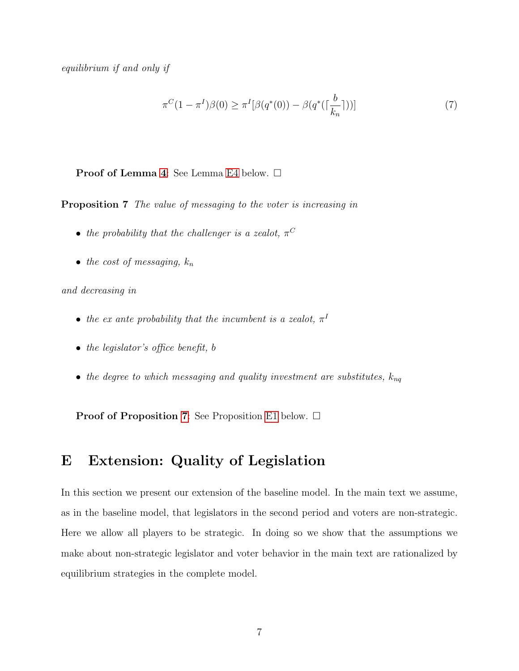equilibrium if and only if

<span id="page-7-1"></span>
$$
\pi^{C}(1 - \pi^{I})\beta(0) \ge \pi^{I}[\beta(q^{*}(0)) - \beta(q^{*}(\lceil \frac{b}{k_{n}} \rceil))]
$$
\n(7)

#### <span id="page-7-2"></span>Proof of Lemma [4](#page-7-1): See Lemma [E4](#page-17-0) below. □

Proposition 7 The value of messaging to the voter is increasing in

- the probability that the challenger is a zealot,  $\pi^C$
- the cost of messaging,  $k_n$

and decreasing in

- the ex ante probability that the incumbent is a zealot,  $\pi^{I}$
- the legislator's office benefit, b
- the degree to which messaging and quality investment are substitutes,  $k_{nq}$

**Proof of Proposition [7](#page-7-2):** See Proposition [E1](#page-1-3) below.  $\Box$ 

# <span id="page-7-0"></span>E Extension: Quality of Legislation

In this section we present our extension of the baseline model. In the main text we assume, as in the baseline model, that legislators in the second period and voters are non-strategic. Here we allow all players to be strategic. In doing so we show that the assumptions we make about non-strategic legislator and voter behavior in the main text are rationalized by equilibrium strategies in the complete model.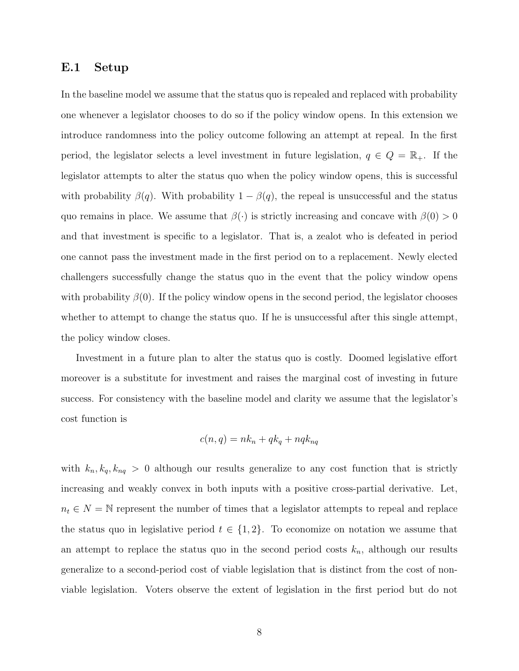#### <span id="page-8-0"></span>E.1 Setup

In the baseline model we assume that the status quo is repealed and replaced with probability one whenever a legislator chooses to do so if the policy window opens. In this extension we introduce randomness into the policy outcome following an attempt at repeal. In the first period, the legislator selects a level investment in future legislation,  $q \in Q = \mathbb{R}_{+}$ . If the legislator attempts to alter the status quo when the policy window opens, this is successful with probability  $\beta(q)$ . With probability  $1 - \beta(q)$ , the repeal is unsuccessful and the status quo remains in place. We assume that  $\beta(\cdot)$  is strictly increasing and concave with  $\beta(0) > 0$ and that investment is specific to a legislator. That is, a zealot who is defeated in period one cannot pass the investment made in the first period on to a replacement. Newly elected challengers successfully change the status quo in the event that the policy window opens with probability  $\beta(0)$ . If the policy window opens in the second period, the legislator chooses whether to attempt to change the status quo. If he is unsuccessful after this single attempt, the policy window closes.

Investment in a future plan to alter the status quo is costly. Doomed legislative effort moreover is a substitute for investment and raises the marginal cost of investing in future success. For consistency with the baseline model and clarity we assume that the legislator's cost function is

$$
c(n,q) = nk_n + qk_q + nqk_{nq}
$$

with  $k_n, k_q, k_{nq} > 0$  although our results generalize to any cost function that is strictly increasing and weakly convex in both inputs with a positive cross-partial derivative. Let,  $n_t \in N = \mathbb{N}$  represent the number of times that a legislator attempts to repeal and replace the status quo in legislative period  $t \in \{1,2\}$ . To economize on notation we assume that an attempt to replace the status quo in the second period costs  $k_n$ , although our results generalize to a second-period cost of viable legislation that is distinct from the cost of nonviable legislation. Voters observe the extent of legislation in the first period but do not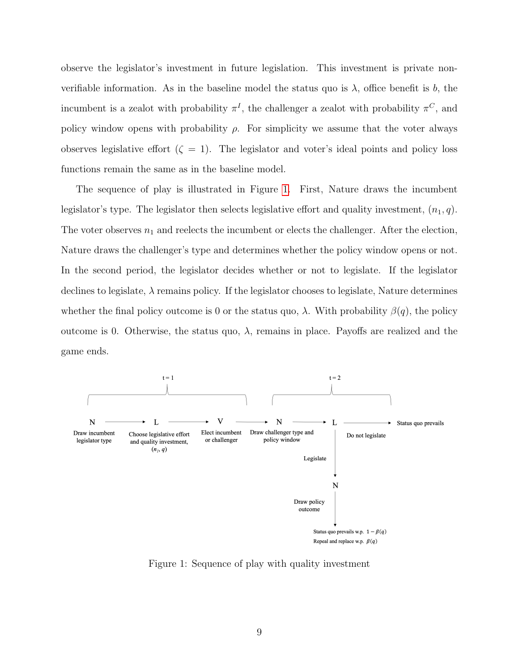observe the legislator's investment in future legislation. This investment is private nonverifiable information. As in the baseline model the status quo is  $\lambda$ , office benefit is b, the incumbent is a zealot with probability  $\pi^I$ , the challenger a zealot with probability  $\pi^C$ , and policy window opens with probability  $\rho$ . For simplicity we assume that the voter always observes legislative effort  $(\zeta = 1)$ . The legislator and voter's ideal points and policy loss functions remain the same as in the baseline model.

The sequence of play is illustrated in Figure [1.](#page-9-0) First, Nature draws the incumbent legislator's type. The legislator then selects legislative effort and quality investment,  $(n_1, q)$ . The voter observes  $n_1$  and reelects the incumbent or elects the challenger. After the election, Nature draws the challenger's type and determines whether the policy window opens or not. In the second period, the legislator decides whether or not to legislate. If the legislator declines to legislate,  $\lambda$  remains policy. If the legislator chooses to legislate, Nature determines whether the final policy outcome is 0 or the status quo,  $\lambda$ . With probability  $\beta(q)$ , the policy outcome is 0. Otherwise, the status quo,  $\lambda$ , remains in place. Payoffs are realized and the game ends.

<span id="page-9-0"></span>

Figure 1: Sequence of play with quality investment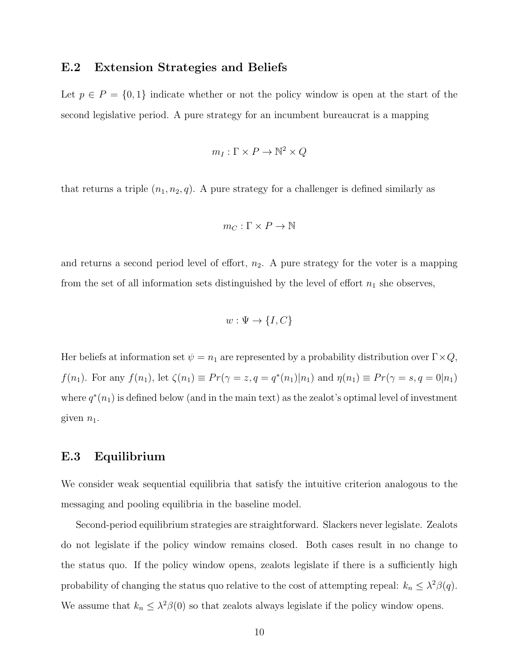## <span id="page-10-0"></span>E.2 Extension Strategies and Beliefs

Let  $p \in P = \{0,1\}$  indicate whether or not the policy window is open at the start of the second legislative period. A pure strategy for an incumbent bureaucrat is a mapping

$$
m_I:\Gamma\times P\to \mathbb{N}^2\times Q
$$

that returns a triple  $(n_1, n_2, q)$ . A pure strategy for a challenger is defined similarly as

$$
m_C: \Gamma \times P \to \mathbb{N}
$$

and returns a second period level of effort,  $n_2$ . A pure strategy for the voter is a mapping from the set of all information sets distinguished by the level of effort  $n_1$  she observes,

$$
w: \Psi \to \{I, C\}
$$

Her beliefs at information set  $\psi = n_1$  are represented by a probability distribution over  $\Gamma \times Q$ ,  $f(n_1)$ . For any  $f(n_1)$ , let  $\zeta(n_1) \equiv Pr(\gamma = z, q = q^*(n_1)|n_1)$  and  $\eta(n_1) \equiv Pr(\gamma = s, q = 0|n_1)$ where  $q^*(n_1)$  is defined below (and in the main text) as the zealot's optimal level of investment given  $n_1$ .

## <span id="page-10-1"></span>E.3 Equilibrium

We consider weak sequential equilibria that satisfy the intuitive criterion analogous to the messaging and pooling equilibria in the baseline model.

Second-period equilibrium strategies are straightforward. Slackers never legislate. Zealots do not legislate if the policy window remains closed. Both cases result in no change to the status quo. If the policy window opens, zealots legislate if there is a sufficiently high probability of changing the status quo relative to the cost of attempting repeal:  $k_n \leq \lambda^2 \beta(q)$ . We assume that  $k_n \leq \lambda^2 \beta(0)$  so that zealots always legislate if the policy window opens.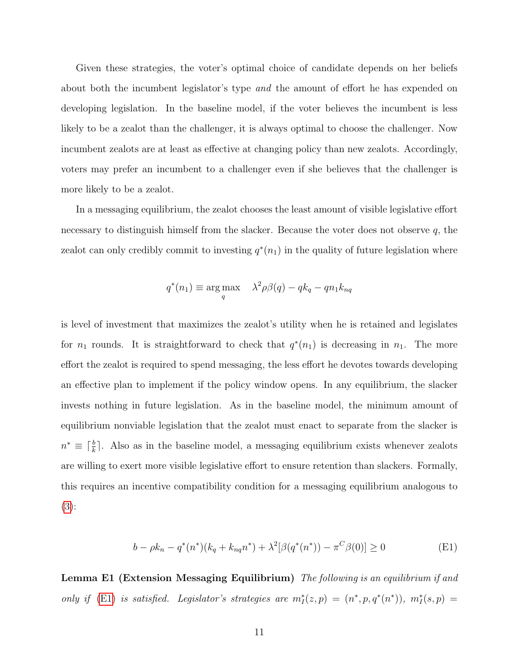Given these strategies, the voter's optimal choice of candidate depends on her beliefs about both the incumbent legislator's type and the amount of effort he has expended on developing legislation. In the baseline model, if the voter believes the incumbent is less likely to be a zealot than the challenger, it is always optimal to choose the challenger. Now incumbent zealots are at least as effective at changing policy than new zealots. Accordingly, voters may prefer an incumbent to a challenger even if she believes that the challenger is more likely to be a zealot.

In a messaging equilibrium, the zealot chooses the least amount of visible legislative effort necessary to distinguish himself from the slacker. Because the voter does not observe  $q$ , the zealot can only credibly commit to investing  $q^*(n_1)$  in the quality of future legislation where

$$
q^*(n_1) \equiv \underset{q}{\arg \max} \quad \lambda^2 \rho \beta(q) - qk_q - qn_1k_{nq}
$$

is level of investment that maximizes the zealot's utility when he is retained and legislates for  $n_1$  rounds. It is straightforward to check that  $q^*(n_1)$  is decreasing in  $n_1$ . The more effort the zealot is required to spend messaging, the less effort he devotes towards developing an effective plan to implement if the policy window opens. In any equilibrium, the slacker invests nothing in future legislation. As in the baseline model, the minimum amount of equilibrium nonviable legislation that the zealot must enact to separate from the slacker is  $n^* \equiv \lceil \frac{b}{k} \rceil$ . Also as in the baseline model, a messaging equilibrium exists whenever zealots are willing to exert more visible legislative effort to ensure retention than slackers. Formally, this requires an incentive compatibility condition for a messaging equilibrium analogous to [\(3\)](#page-1-2):

<span id="page-11-0"></span>
$$
b - \rho k_n - q^*(n^*)(k_q + k_{nq}n^*) + \lambda^2[\beta(q^*(n^*)) - \pi^C\beta(0)] \ge 0
$$
 (E1)

Lemma E1 (Extension Messaging Equilibrium) The following is an equilibrium if and only if [\(E1\)](#page-11-0) is satisfied. Legislator's strategies are  $m_I^*(z,p) = (n^*, p, q^*(n^*)), m_I^*(s,p) =$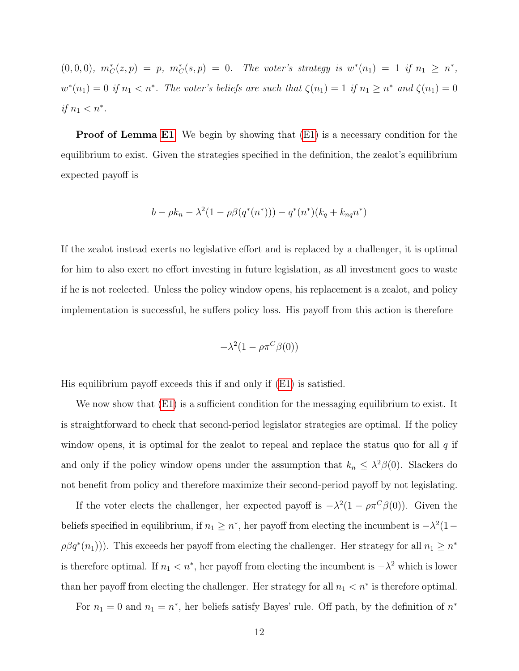$(0,0,0), m^*_{\mathcal{C}}(z,p) = p, m^*_{\mathcal{C}}(s,p) = 0.$  The voter's strategy is  $w^*(n_1) = 1$  if  $n_1 \geq n^*$ ,  $w^*(n_1) = 0$  if  $n_1 < n^*$ . The voter's beliefs are such that  $\zeta(n_1) = 1$  if  $n_1 \geq n^*$  and  $\zeta(n_1) = 0$ if  $n_1 < n^*$ .

**Proof of Lemma [E1](#page-2-1)**: We begin by showing that  $(E1)$  is a necessary condition for the equilibrium to exist. Given the strategies specified in the definition, the zealot's equilibrium expected payoff is

$$
b - \rho k_n - \lambda^2 (1 - \rho \beta(q^*(n^*))) - q^*(n^*)(k_q + k_{nq}n^*)
$$

If the zealot instead exerts no legislative effort and is replaced by a challenger, it is optimal for him to also exert no effort investing in future legislation, as all investment goes to waste if he is not reelected. Unless the policy window opens, his replacement is a zealot, and policy implementation is successful, he suffers policy loss. His payoff from this action is therefore

$$
-\lambda^2(1-\rho\pi^C\beta(0))
$$

His equilibrium payoff exceeds this if and only if [\(E1\)](#page-11-0) is satisfied.

We now show that  $(E1)$  is a sufficient condition for the messaging equilibrium to exist. It is straightforward to check that second-period legislator strategies are optimal. If the policy window opens, it is optimal for the zealot to repeal and replace the status quo for all  $q$  if and only if the policy window opens under the assumption that  $k_n \leq \lambda^2 \beta(0)$ . Slackers do not benefit from policy and therefore maximize their second-period payoff by not legislating.

If the voter elects the challenger, her expected payoff is  $-\lambda^2(1-\rho\pi^C\beta(0))$ . Given the beliefs specified in equilibrium, if  $n_1 \geq n^*$ , her payoff from electing the incumbent is  $-\lambda^2(1-\lambda^2)$  $\rho \beta q^*(n_1)$ ). This exceeds her payoff from electing the challenger. Her strategy for all  $n_1 \geq n^*$ is therefore optimal. If  $n_1 < n^*$ , her payoff from electing the incumbent is  $-\lambda^2$  which is lower than her payoff from electing the challenger. Her strategy for all  $n_1 < n^*$  is therefore optimal.

For  $n_1 = 0$  and  $n_1 = n^*$ , her beliefs satisfy Bayes' rule. Off path, by the definition of  $n^*$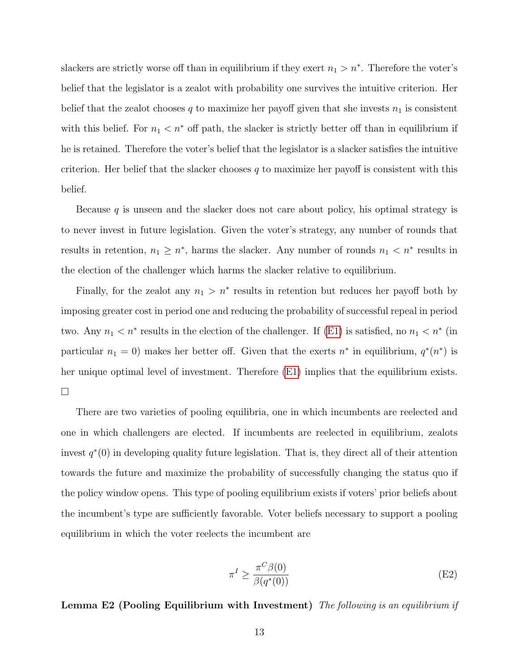slackers are strictly worse off than in equilibrium if they exert  $n_1 > n^*$ . Therefore the voter's belief that the legislator is a zealot with probability one survives the intuitive criterion. Her belief that the zealot chooses q to maximize her payoff given that she invests  $n_1$  is consistent with this belief. For  $n_1 < n^*$  off path, the slacker is strictly better off than in equilibrium if he is retained. Therefore the voter's belief that the legislator is a slacker satisfies the intuitive criterion. Her belief that the slacker chooses  $q$  to maximize her payoff is consistent with this belief.

Because  $q$  is unseen and the slacker does not care about policy, his optimal strategy is to never invest in future legislation. Given the voter's strategy, any number of rounds that results in retention,  $n_1 \geq n^*$ , harms the slacker. Any number of rounds  $n_1 < n^*$  results in the election of the challenger which harms the slacker relative to equilibrium.

Finally, for the zealot any  $n_1 > n^*$  results in retention but reduces her payoff both by imposing greater cost in period one and reducing the probability of successful repeal in period two. Any  $n_1 < n^*$  results in the election of the challenger. If [\(E1\)](#page-11-0) is satisfied, no  $n_1 < n^*$  (in particular  $n_1 = 0$ ) makes her better off. Given that the exerts  $n^*$  in equilibrium,  $q^*(n^*)$  is her unique optimal level of investment. Therefore [\(E1\)](#page-11-0) implies that the equilibrium exists.  $\Box$ 

There are two varieties of pooling equilibria, one in which incumbents are reelected and one in which challengers are elected. If incumbents are reelected in equilibrium, zealots invest  $q^*(0)$  in developing quality future legislation. That is, they direct all of their attention towards the future and maximize the probability of successfully changing the status quo if the policy window opens. This type of pooling equilibrium exists if voters' prior beliefs about the incumbent's type are sufficiently favorable. Voter beliefs necessary to support a pooling equilibrium in which the voter reelects the incumbent are

<span id="page-13-0"></span>
$$
\pi^I \ge \frac{\pi^C \beta(0)}{\beta(q^*(0))}
$$
 (E2)

Lemma E2 (Pooling Equilibrium with Investment) The following is an equilibrium if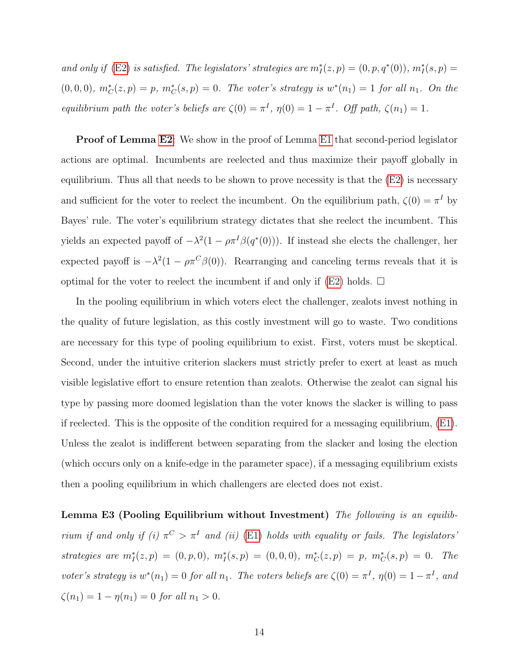and only if [\(E2\)](#page-13-0) is satisfied. The legislators' strategies are  $m_I^*(z, p) = (0, p, q^*(0)), m_I^*(s, p) = (0, p, q^*(0)),$  $(0,0,0), m_C^*(z,p) = p, m_C^*(s,p) = 0.$  The voter's strategy is  $w^*(n_1) = 1$  for all  $n_1$ . On the equilibrium path the voter's beliefs are  $\zeta(0) = \pi^I$ ,  $\eta(0) = 1 - \pi^I$ . Off path,  $\zeta(n_1) = 1$ .

**Proof of Lemma [E2](#page-4-0):** We show in the proof of Lemma [E1](#page-2-1) that second-period legislator actions are optimal. Incumbents are reelected and thus maximize their payoff globally in equilibrium. Thus all that needs to be shown to prove necessity is that the [\(E2\)](#page-13-0) is necessary and sufficient for the voter to reelect the incumbent. On the equilibrium path,  $\zeta(0) = \pi^I$  by Bayes' rule. The voter's equilibrium strategy dictates that she reelect the incumbent. This yields an expected payoff of  $-\lambda^2(1-\rho\pi^I\beta(q^*(0)))$ . If instead she elects the challenger, her expected payoff is  $-\lambda^2(1-\rho\pi^C\beta(0))$ . Rearranging and canceling terms reveals that it is optimal for the voter to reelect the incumbent if and only if  $(E2)$  holds.  $\square$ 

In the pooling equilibrium in which voters elect the challenger, zealots invest nothing in the quality of future legislation, as this costly investment will go to waste. Two conditions are necessary for this type of pooling equilibrium to exist. First, voters must be skeptical. Second, under the intuitive criterion slackers must strictly prefer to exert at least as much visible legislative effort to ensure retention than zealots. Otherwise the zealot can signal his type by passing more doomed legislation than the voter knows the slacker is willing to pass if reelected. This is the opposite of the condition required for a messaging equilibrium, [\(E1\)](#page-11-0). Unless the zealot is indifferent between separating from the slacker and losing the election (which occurs only on a knife-edge in the parameter space), if a messaging equilibrium exists then a pooling equilibrium in which challengers are elected does not exist.

Lemma E3 (Pooling Equilibrium without Investment) The following is an equilibrium if and only if (i)  $\pi^C > \pi^I$  and (ii) [\(E1\)](#page-11-0) holds with equality or fails. The legislators' strategies are  $m_I^*(z, p) = (0, p, 0), m_I^*(s, p) = (0, 0, 0), m_C^*(z, p) = p, m_C^*(s, p) = 0$ . The voter's strategy is  $w^*(n_1) = 0$  for all  $n_1$ . The voters beliefs are  $\zeta(0) = \pi^I$ ,  $\eta(0) = 1 - \pi^I$ , and  $\zeta(n_1) = 1 - \eta(n_1) = 0$  for all  $n_1 > 0$ .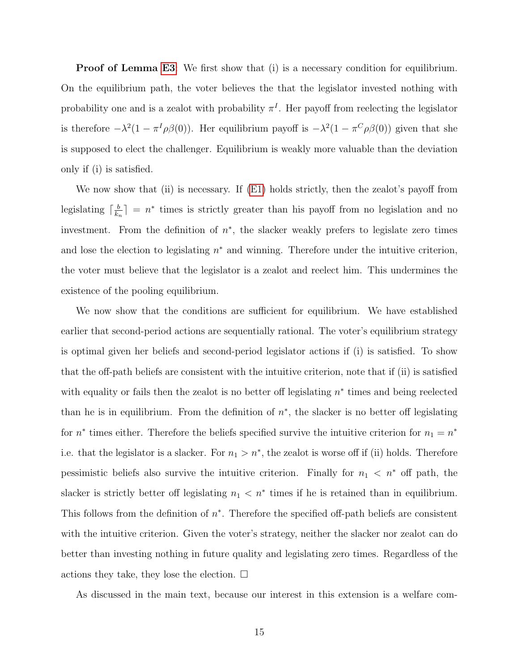**Proof of Lemma [E3](#page-4-1)**: We first show that (i) is a necessary condition for equilibrium. On the equilibrium path, the voter believes the that the legislator invested nothing with probability one and is a zealot with probability  $\pi^{I}$ . Her payoff from reelecting the legislator is therefore  $-\lambda^2(1-\pi^I\rho\beta(0))$ . Her equilibrium payoff is  $-\lambda^2(1-\pi^C\rho\beta(0))$  given that she is supposed to elect the challenger. Equilibrium is weakly more valuable than the deviation only if (i) is satisfied.

We now show that (ii) is necessary. If [\(E1\)](#page-11-0) holds strictly, then the zealot's payoff from legislating  $\lceil \frac{b}{k} \rceil$  $\frac{b}{k_n}$  =  $n^*$  times is strictly greater than his payoff from no legislation and no investment. From the definition of  $n^*$ , the slacker weakly prefers to legislate zero times and lose the election to legislating  $n^*$  and winning. Therefore under the intuitive criterion, the voter must believe that the legislator is a zealot and reelect him. This undermines the existence of the pooling equilibrium.

We now show that the conditions are sufficient for equilibrium. We have established earlier that second-period actions are sequentially rational. The voter's equilibrium strategy is optimal given her beliefs and second-period legislator actions if (i) is satisfied. To show that the off-path beliefs are consistent with the intuitive criterion, note that if (ii) is satisfied with equality or fails then the zealot is no better off legislating  $n^*$  times and being reelected than he is in equilibrium. From the definition of  $n^*$ , the slacker is no better off legislating for  $n^*$  times either. Therefore the beliefs specified survive the intuitive criterion for  $n_1 = n^*$ i.e. that the legislator is a slacker. For  $n_1 > n^*$ , the zealot is worse off if (ii) holds. Therefore pessimistic beliefs also survive the intuitive criterion. Finally for  $n_1 < n^*$  off path, the slacker is strictly better off legislating  $n_1 < n^*$  times if he is retained than in equilibrium. This follows from the definition of  $n^*$ . Therefore the specified off-path beliefs are consistent with the intuitive criterion. Given the voter's strategy, neither the slacker nor zealot can do better than investing nothing in future quality and legislating zero times. Regardless of the actions they take, they lose the election.  $\Box$ 

As discussed in the main text, because our interest in this extension is a welfare com-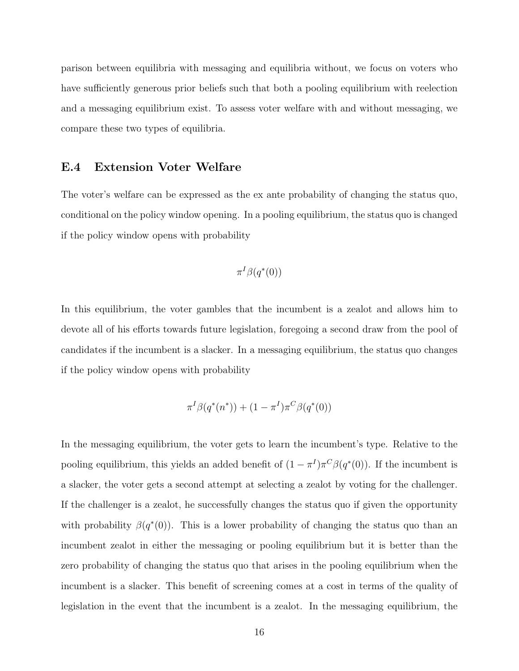parison between equilibria with messaging and equilibria without, we focus on voters who have sufficiently generous prior beliefs such that both a pooling equilibrium with reelection and a messaging equilibrium exist. To assess voter welfare with and without messaging, we compare these two types of equilibria.

### <span id="page-16-0"></span>E.4 Extension Voter Welfare

The voter's welfare can be expressed as the ex ante probability of changing the status quo, conditional on the policy window opening. In a pooling equilibrium, the status quo is changed if the policy window opens with probability

$$
\pi^I\beta(q^*(0))
$$

In this equilibrium, the voter gambles that the incumbent is a zealot and allows him to devote all of his efforts towards future legislation, foregoing a second draw from the pool of candidates if the incumbent is a slacker. In a messaging equilibrium, the status quo changes if the policy window opens with probability

$$
\pi^{I}\beta(q^*(n^*)) + (1 - \pi^{I})\pi^{C}\beta(q^*(0))
$$

In the messaging equilibrium, the voter gets to learn the incumbent's type. Relative to the pooling equilibrium, this yields an added benefit of  $(1 - \pi^I)\pi^C\beta(q^*(0))$ . If the incumbent is a slacker, the voter gets a second attempt at selecting a zealot by voting for the challenger. If the challenger is a zealot, he successfully changes the status quo if given the opportunity with probability  $\beta(q^*(0))$ . This is a lower probability of changing the status quo than an incumbent zealot in either the messaging or pooling equilibrium but it is better than the zero probability of changing the status quo that arises in the pooling equilibrium when the incumbent is a slacker. This benefit of screening comes at a cost in terms of the quality of legislation in the event that the incumbent is a zealot. In the messaging equilibrium, the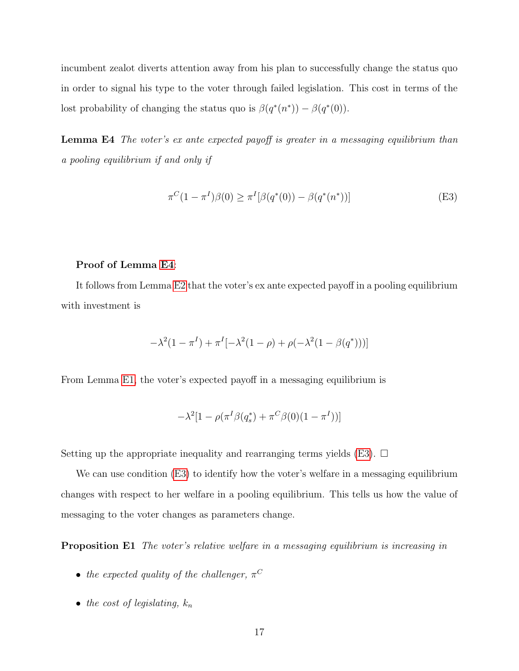incumbent zealot diverts attention away from his plan to successfully change the status quo in order to signal his type to the voter through failed legislation. This cost in terms of the lost probability of changing the status quo is  $\beta(q^*(n^*)) - \beta(q^*(0)).$ 

Lemma E4 The voter's ex ante expected payoff is greater in a messaging equilibrium than a pooling equilibrium if and only if

<span id="page-17-0"></span>
$$
\pi^{C}(1 - \pi^{I})\beta(0) \ge \pi^{I}[\beta(q^{*}(0)) - \beta(q^{*}(n^{*}))]
$$
\n(E3)

#### Proof of Lemma [E4](#page-17-0):

It follows from Lemma [E2](#page-4-0) that the voter's ex ante expected payoff in a pooling equilibrium with investment is

$$
-\lambda^{2}(1-\pi^{I}) + \pi^{I}[-\lambda^{2}(1-\rho) + \rho(-\lambda^{2}(1-\beta(q^{*})))]
$$

From Lemma [E1,](#page-2-1) the voter's expected payoff in a messaging equilibrium is

$$
-\lambda^{2}[1-\rho(\pi^{I}\beta(q_{s}^{*})+\pi^{C}\beta(0)(1-\pi^{I}))]
$$

Setting up the appropriate inequality and rearranging terms yields [\(E3\)](#page-17-0).  $\Box$ 

We can use condition [\(E3\)](#page-17-0) to identify how the voter's welfare in a messaging equilibrium changes with respect to her welfare in a pooling equilibrium. This tells us how the value of messaging to the voter changes as parameters change.

**Proposition E1** The voter's relative welfare in a messaging equilibrium is increasing in

- the expected quality of the challenger,  $\pi^C$
- the cost of legislating,  $k_n$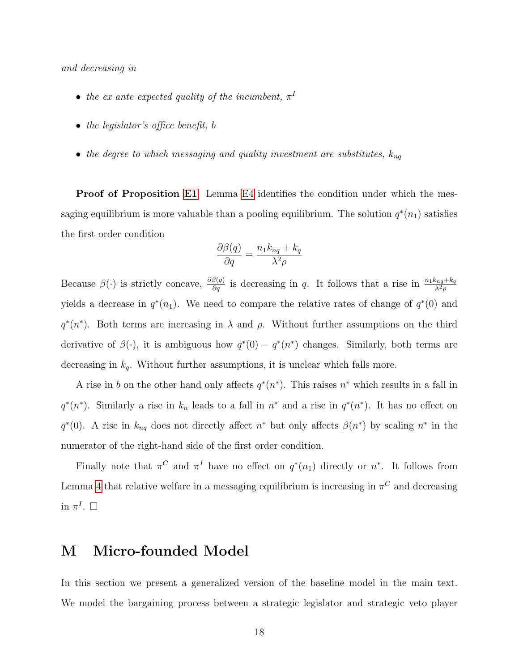and decreasing in

- the ex ante expected quality of the incumbent,  $\pi^I$
- the legislator's office benefit, b
- the degree to which messaging and quality investment are substitutes,  $k_{nq}$

Proof of Proposition [E1](#page-1-3): Lemma [E4](#page-17-0) identifies the condition under which the messaging equilibrium is more valuable than a pooling equilibrium. The solution  $q^*(n_1)$  satisfies the first order condition

$$
\frac{\partial\beta(q)}{\partial q}=\frac{n_1k_{nq}+k_q}{\lambda^2\rho}
$$

Because  $\beta(\cdot)$  is strictly concave,  $\frac{\partial \beta(q)}{\partial q}$  is decreasing in q. It follows that a rise in  $\frac{n_1 k_{nq} + k_q}{\lambda^2 \rho}$ yields a decrease in  $q^*(n_1)$ . We need to compare the relative rates of change of  $q^*(0)$  and  $q^*(n^*)$ . Both terms are increasing in  $\lambda$  and  $\rho$ . Without further assumptions on the third derivative of  $\beta(\cdot)$ , it is ambiguous how  $q^*(0) - q^*(n^*)$  changes. Similarly, both terms are decreasing in  $k_q$ . Without further assumptions, it is unclear which falls more.

A rise in b on the other hand only affects  $q^*(n^*)$ . This raises  $n^*$  which results in a fall in  $q^*(n^*)$ . Similarly a rise in  $k_n$  leads to a fall in  $n^*$  and a rise in  $q^*(n^*)$ . It has no effect on  $q^*(0)$ . A rise in  $k_{nq}$  does not directly affect  $n^*$  but only affects  $\beta(n^*)$  by scaling  $n^*$  in the numerator of the right-hand side of the first order condition.

Finally note that  $\pi^C$  and  $\pi^I$  have no effect on  $q^*(n_1)$  directly or  $n^*$ . It follows from Lemma [4](#page-7-1) that relative welfare in a messaging equilibrium is increasing in  $\pi^C$  and decreasing in  $\pi^I$ .  $\Box$ 

# <span id="page-18-0"></span>M Micro-founded Model

In this section we present a generalized version of the baseline model in the main text. We model the bargaining process between a strategic legislator and strategic veto player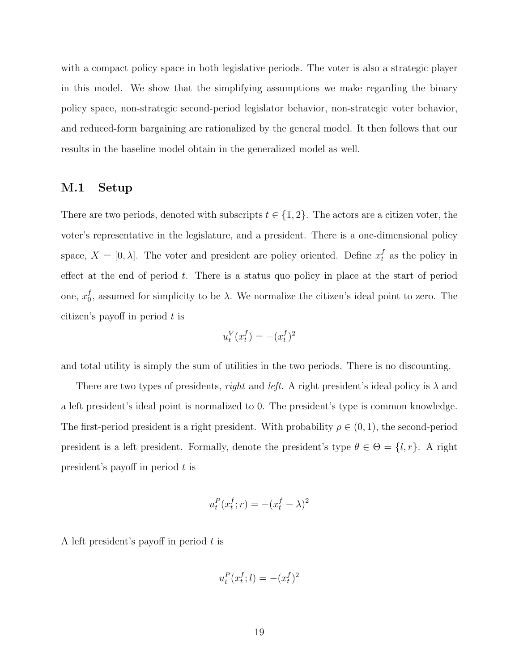with a compact policy space in both legislative periods. The voter is also a strategic player in this model. We show that the simplifying assumptions we make regarding the binary policy space, non-strategic second-period legislator behavior, non-strategic voter behavior, and reduced-form bargaining are rationalized by the general model. It then follows that our results in the baseline model obtain in the generalized model as well.

# <span id="page-19-0"></span>M.1 Setup

There are two periods, denoted with subscripts  $t \in \{1, 2\}$ . The actors are a citizen voter, the voter's representative in the legislature, and a president. There is a one-dimensional policy space,  $X = [0, \lambda]$ . The voter and president are policy oriented. Define  $x_t^f$  as the policy in effect at the end of period  $t$ . There is a status quo policy in place at the start of period one,  $x_0^f$  $_0^J$ , assumed for simplicity to be  $\lambda$ . We normalize the citizen's ideal point to zero. The citizen's payoff in period  $t$  is

$$
u_t^V(x_t^f) = -(x_t^f)^2
$$

and total utility is simply the sum of utilities in the two periods. There is no discounting.

There are two types of presidents, *right* and *left*. A right president's ideal policy is  $\lambda$  and a left president's ideal point is normalized to 0. The president's type is common knowledge. The first-period president is a right president. With probability  $\rho \in (0,1)$ , the second-period president is a left president. Formally, denote the president's type  $\theta \in \Theta = \{l, r\}$ . A right president's payoff in period t is

$$
u_t^P(x_t^f; r) = -(x_t^f - \lambda)^2
$$

A left president's payoff in period  $t$  is

$$
u_t^P(x_t^f; l) = -(x_t^f)^2
$$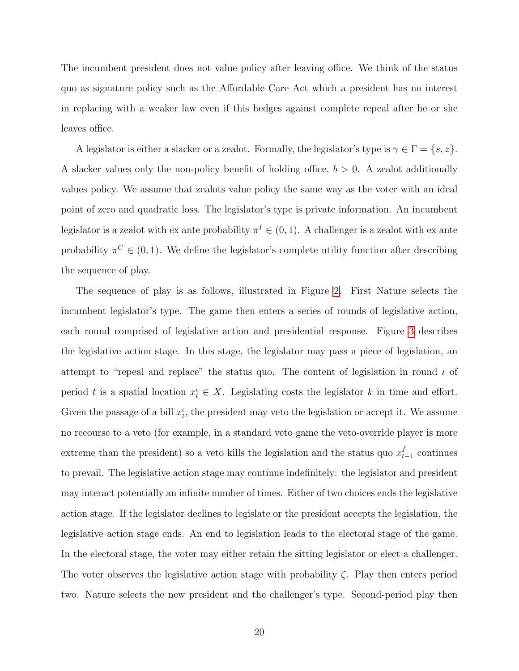The incumbent president does not value policy after leaving office. We think of the status quo as signature policy such as the Affordable Care Act which a president has no interest in replacing with a weaker law even if this hedges against complete repeal after he or she leaves office.

A legislator is either a slacker or a zealot. Formally, the legislator's type is  $\gamma \in \Gamma = \{s, z\}.$ A slacker values only the non-policy benefit of holding office,  $b > 0$ . A zealot additionally values policy. We assume that zealots value policy the same way as the voter with an ideal point of zero and quadratic loss. The legislator's type is private information. An incumbent legislator is a zealot with ex ante probability  $\pi^{I} \in (0,1)$ . A challenger is a zealot with ex ante probability  $\pi^{C} \in (0, 1)$ . We define the legislator's complete utility function after describing the sequence of play.

The sequence of play is as follows, illustrated in Figure [2.](#page-21-0) First Nature selects the incumbent legislator's type. The game then enters a series of rounds of legislative action, each round comprised of legislative action and presidential response. Figure [3](#page-21-1) describes the legislative action stage. In this stage, the legislator may pass a piece of legislation, an attempt to "repeal and replace" the status quo. The content of legislation in round  $\iota$  of period t is a spatial location  $x_t^i \in X$ . Legislating costs the legislator k in time and effort. Given the passage of a bill  $x_t^i$ , the president may veto the legislation or accept it. We assume no recourse to a veto (for example, in a standard veto game the veto-override player is more extreme than the president) so a veto kills the legislation and the status quo  $x_t^f$  $_{t-1}^{J}$  continues to prevail. The legislative action stage may continue indefinitely: the legislator and president may interact potentially an infinite number of times. Either of two choices ends the legislative action stage. If the legislator declines to legislate or the president accepts the legislation, the legislative action stage ends. An end to legislation leads to the electoral stage of the game. In the electoral stage, the voter may either retain the sitting legislator or elect a challenger. The voter observes the legislative action stage with probability  $\zeta$ . Play then enters period two. Nature selects the new president and the challenger's type. Second-period play then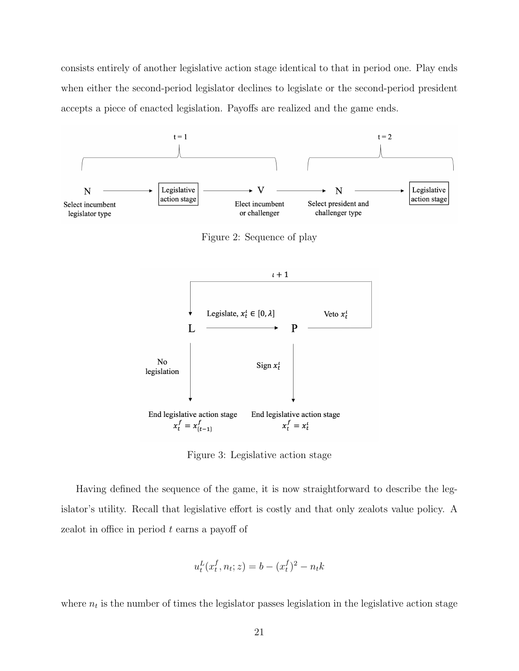consists entirely of another legislative action stage identical to that in period one. Play ends when either the second-period legislator declines to legislate or the second-period president accepts a piece of enacted legislation. Payoffs are realized and the game ends.

<span id="page-21-0"></span>

Figure 2: Sequence of play

<span id="page-21-1"></span>

Figure 3: Legislative action stage

Having defined the sequence of the game, it is now straightforward to describe the legislator's utility. Recall that legislative effort is costly and that only zealots value policy. A zealot in office in period t earns a payoff of

$$
u_t^L(x_t^f, n_t; z) = b - (x_t^f)^2 - n_t k
$$

where  $n_t$  is the number of times the legislator passes legislation in the legislative action stage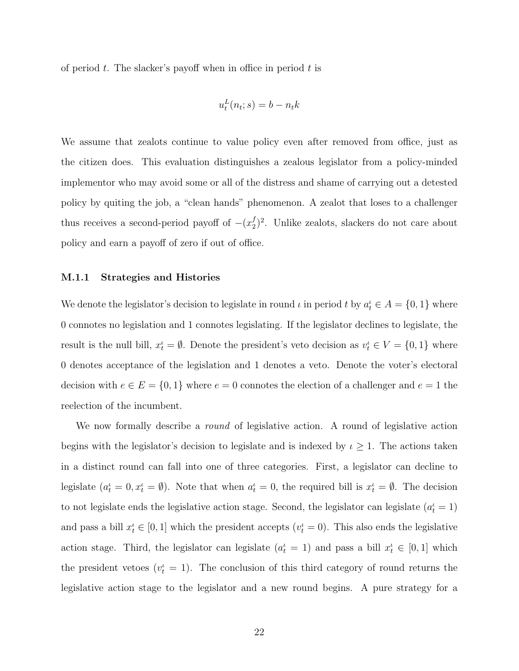of period  $t$ . The slacker's payoff when in office in period  $t$  is

$$
u_t^L(n_t; s) = b - n_t k
$$

We assume that zealots continue to value policy even after removed from office, just as the citizen does. This evaluation distinguishes a zealous legislator from a policy-minded implementor who may avoid some or all of the distress and shame of carrying out a detested policy by quiting the job, a "clean hands" phenomenon. A zealot that loses to a challenger thus receives a second-period payoff of  $-(x_2^f)$  $2^{f/2}$ . Unlike zealots, slackers do not care about policy and earn a payoff of zero if out of office.

#### <span id="page-22-0"></span>M.1.1 Strategies and Histories

We denote the legislator's decision to legislate in round  $\iota$  in period  $t$  by  $a_t^i \in A = \{0, 1\}$  where 0 connotes no legislation and 1 connotes legislating. If the legislator declines to legislate, the result is the null bill,  $x_t^i = \emptyset$ . Denote the president's veto decision as  $v_t^i \in V = \{0, 1\}$  where 0 denotes acceptance of the legislation and 1 denotes a veto. Denote the voter's electoral decision with  $e \in E = \{0, 1\}$  where  $e = 0$  connotes the election of a challenger and  $e = 1$  the reelection of the incumbent.

We now formally describe a *round* of legislative action. A round of legislative action begins with the legislator's decision to legislate and is indexed by  $\iota \geq 1$ . The actions taken in a distinct round can fall into one of three categories. First, a legislator can decline to legislate  $(a_t^i = 0, x_t^i = \emptyset)$ . Note that when  $a_t^i = 0$ , the required bill is  $x_t^i = \emptyset$ . The decision to not legislate ends the legislative action stage. Second, the legislator can legislate  $(a_t^{\iota} = 1)$ and pass a bill  $x_t^i \in [0, 1]$  which the president accepts  $(v_t^i = 0)$ . This also ends the legislative action stage. Third, the legislator can legislate  $(a_t^{\iota} = 1)$  and pass a bill  $x_t^{\iota} \in [0,1]$  which the president vetoes  $(v_t^i = 1)$ . The conclusion of this third category of round returns the legislative action stage to the legislator and a new round begins. A pure strategy for a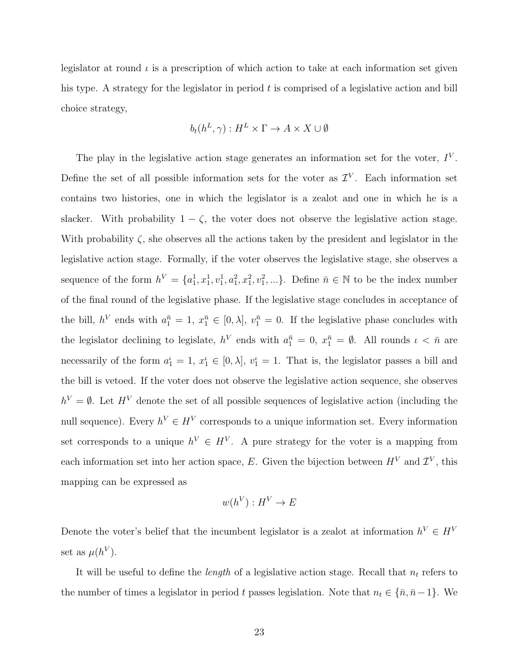legislator at round  $\iota$  is a prescription of which action to take at each information set given his type. A strategy for the legislator in period  $t$  is comprised of a legislative action and bill choice strategy,

$$
b_t(h^L, \gamma) : H^L \times \Gamma \to A \times X \cup \emptyset
$$

The play in the legislative action stage generates an information set for the voter,  $I<sup>V</sup>$ . Define the set of all possible information sets for the voter as  $\mathcal{I}^V$ . Each information set contains two histories, one in which the legislator is a zealot and one in which he is a slacker. With probability  $1 - \zeta$ , the voter does not observe the legislative action stage. With probability  $\zeta$ , she observes all the actions taken by the president and legislator in the legislative action stage. Formally, if the voter observes the legislative stage, she observes a sequence of the form  $h^V = \{a_1^1, x_1^1, v_1^1, a_1^2, x_1^2, v_1^2, ...\}$ . Define  $\bar{n} \in \mathbb{N}$  to be the index number of the final round of the legislative phase. If the legislative stage concludes in acceptance of the bill,  $h^V$  ends with  $a_1^{\bar{n}} = 1, x_1^{\bar{n}} \in [0, \lambda], v_1^{\bar{n}} = 0$ . If the legislative phase concludes with the legislator declining to legislate,  $h^V$  ends with  $a_1^{\bar{n}} = 0$ ,  $x_1^{\bar{n}} = \emptyset$ . All rounds  $\iota < \bar{n}$  are necessarily of the form  $a_1^{\iota} = 1, x_1^{\iota} \in [0, \lambda], v_1^{\iota} = 1$ . That is, the legislator passes a bill and the bill is vetoed. If the voter does not observe the legislative action sequence, she observes  $h^V = \emptyset$ . Let  $H^V$  denote the set of all possible sequences of legislative action (including the null sequence). Every  $h^V \in H^V$  corresponds to a unique information set. Every information set corresponds to a unique  $h^V \in H^V$ . A pure strategy for the voter is a mapping from each information set into her action space, E. Given the bijection between  $H^V$  and  $\mathcal{I}^V$ , this mapping can be expressed as

$$
w(h^V): H^V \to E
$$

Denote the voter's belief that the incumbent legislator is a zealot at information  $h^V \in H^V$ set as  $\mu(h^V)$ .

It will be useful to define the *length* of a legislative action stage. Recall that  $n_t$  refers to the number of times a legislator in period t passes legislation. Note that  $n_t \in {\overline{n}, \overline{n}} - 1$ . We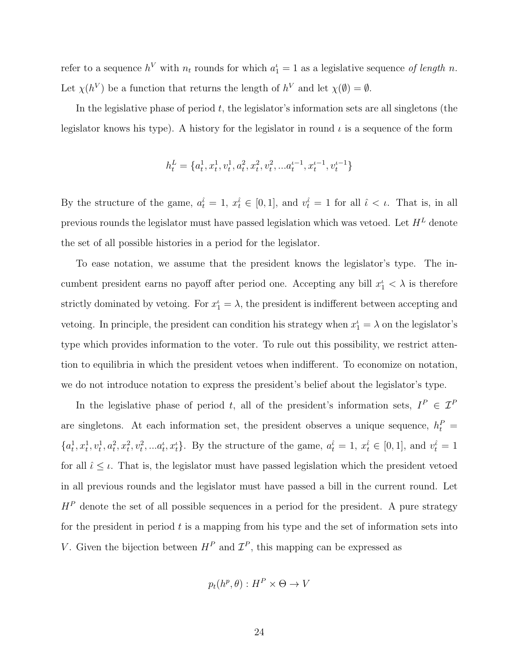refer to a sequence  $h^V$  with  $n_t$  rounds for which  $a_1^t = 1$  as a legislative sequence of length n. Let  $\chi(h^V)$  be a function that returns the length of  $h^V$  and let  $\chi(\emptyset) = \emptyset$ .

In the legislative phase of period  $t$ , the legislator's information sets are all singletons (the legislator knows his type). A history for the legislator in round  $\iota$  is a sequence of the form

$$
\boldsymbol{h}^{L}_{t} = \{a^{1}_{t}, x^{1}_{t}, v^{1}_{t}, a^{2}_{t}, x^{2}_{t}, v^{2}_{t}, ... a^{\iota-1}_{t}, x^{ \iota-1}_{t}, v^{ \iota-1}_{t}\}
$$

By the structure of the game,  $a_t^{\hat{i}} = 1, x_t^{\hat{i}} \in [0,1]$ , and  $v_t^{\hat{i}} = 1$  for all  $\hat{i} < \iota$ . That is, in all previous rounds the legislator must have passed legislation which was vetoed. Let  ${\cal H}^L$  denote the set of all possible histories in a period for the legislator.

To ease notation, we assume that the president knows the legislator's type. The incumbent president earns no payoff after period one. Accepting any bill  $x_1^i < \lambda$  is therefore strictly dominated by vetoing. For  $x_1^{\ell} = \lambda$ , the president is indifferent between accepting and vetoing. In principle, the president can condition his strategy when  $x_1^{\ell} = \lambda$  on the legislator's type which provides information to the voter. To rule out this possibility, we restrict attention to equilibria in which the president vetoes when indifferent. To economize on notation, we do not introduce notation to express the president's belief about the legislator's type.

In the legislative phase of period t, all of the president's information sets,  $I^P \in \mathcal{I}^F$ are singletons. At each information set, the president observes a unique sequence,  $h_t^P$  =  ${a_t^1, x_t^1, v_t^1, a_t^2, x_t^2, v_t^2, \ldots a_t^i, x_t^i}$ . By the structure of the game,  $a_t^i = 1, x_t^i \in [0, 1]$ , and  $v_t^i = 1$ for all  $\hat{\iota} \leq \iota$ . That is, the legislator must have passed legislation which the president vetoed in all previous rounds and the legislator must have passed a bill in the current round. Let  $H<sup>P</sup>$  denote the set of all possible sequences in a period for the president. A pure strategy for the president in period  $t$  is a mapping from his type and the set of information sets into V. Given the bijection between  $H^P$  and  $\mathcal{I}^P$ , this mapping can be expressed as

$$
p_t(h^p, \theta) : H^P \times \Theta \to V
$$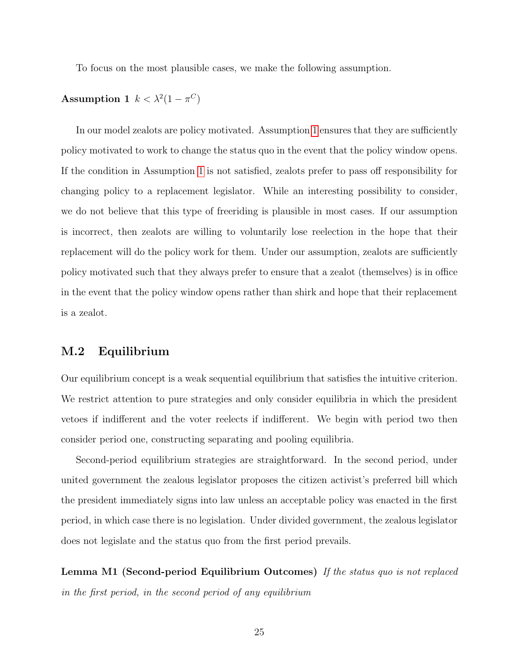<span id="page-25-1"></span>To focus on the most plausible cases, we make the following assumption.

## Assumption 1  $k < \lambda^2(1 - \pi^C)$

In our model zealots are policy motivated. Assumption [1](#page-25-1) ensures that they are sufficiently policy motivated to work to change the status quo in the event that the policy window opens. If the condition in Assumption [1](#page-25-1) is not satisfied, zealots prefer to pass off responsibility for changing policy to a replacement legislator. While an interesting possibility to consider, we do not believe that this type of freeriding is plausible in most cases. If our assumption is incorrect, then zealots are willing to voluntarily lose reelection in the hope that their replacement will do the policy work for them. Under our assumption, zealots are sufficiently policy motivated such that they always prefer to ensure that a zealot (themselves) is in office in the event that the policy window opens rather than shirk and hope that their replacement is a zealot.

## <span id="page-25-0"></span>M.2 Equilibrium

Our equilibrium concept is a weak sequential equilibrium that satisfies the intuitive criterion. We restrict attention to pure strategies and only consider equilibria in which the president vetoes if indifferent and the voter reelects if indifferent. We begin with period two then consider period one, constructing separating and pooling equilibria.

Second-period equilibrium strategies are straightforward. In the second period, under united government the zealous legislator proposes the citizen activist's preferred bill which the president immediately signs into law unless an acceptable policy was enacted in the first period, in which case there is no legislation. Under divided government, the zealous legislator does not legislate and the status quo from the first period prevails.

Lemma M1 (Second-period Equilibrium Outcomes) If the status quo is not replaced in the first period, in the second period of any equilibrium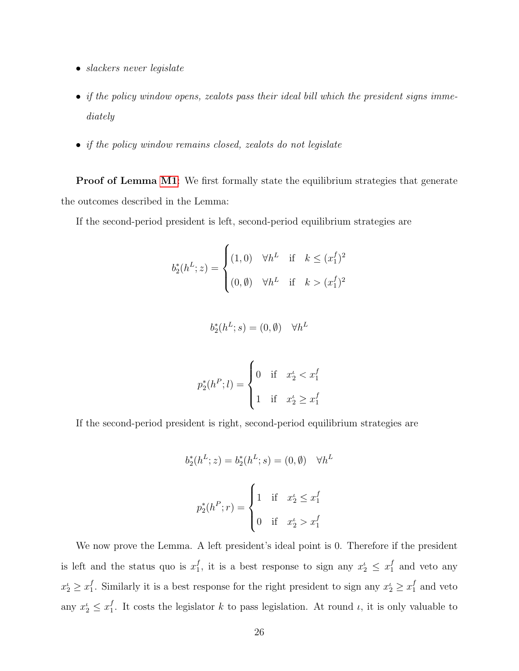- slackers never legislate
- if the policy window opens, zealots pass their ideal bill which the president signs immediately
- if the policy window remains closed, zealots do not legislate

**Proof of Lemma [M1](#page-2-1)**: We first formally state the equilibrium strategies that generate the outcomes described in the Lemma:

If the second-period president is left, second-period equilibrium strategies are

$$
b_2^*(h^L; z) = \begin{cases} (1,0) & \forall h^L \text{ if } k \leq (x_1^f)^2\\ (0, \emptyset) & \forall h^L \text{ if } k > (x_1^f)^2 \end{cases}
$$

$$
b_2^*(h^L; s) = (0, \emptyset) \quad \forall h^L
$$

$$
p_2^*(h^P; l) = \begin{cases} 0 & \text{if } x_2^{\iota} < x_1^f \\ 1 & \text{if } x_2^{\iota} \ge x_1^f \end{cases}
$$

If the second-period president is right, second-period equilibrium strategies are

$$
b_2^*(h^L; z) = b_2^*(h^L; s) = (0, \emptyset) \quad \forall h^L
$$

$$
p_2^*(h^P; r) = \begin{cases} 1 & \text{if } x_2^L \le x_1^f \\ 0 & \text{if } x_2^L > x_1^f \end{cases}
$$

We now prove the Lemma. A left president's ideal point is 0. Therefore if the president is left and the status quo is  $x_1^f$  $j_1^f$ , it is a best response to sign any  $x_2^i \leq x_1^f$  $_1^J$  and veto any  $x_2^{\iota} \geq x_1^f$ <sup>f</sup><sub>1</sub>. Similarly it is a best response for the right president to sign any  $x_2^i \ge x_1^f$  $_1^J$  and veto any  $x_2^{\iota} \leq x_1^{\jmath}$ <sup>*I*</sup><sub>1</sub>. It costs the legislator *k* to pass legislation. At round *i*, it is only valuable to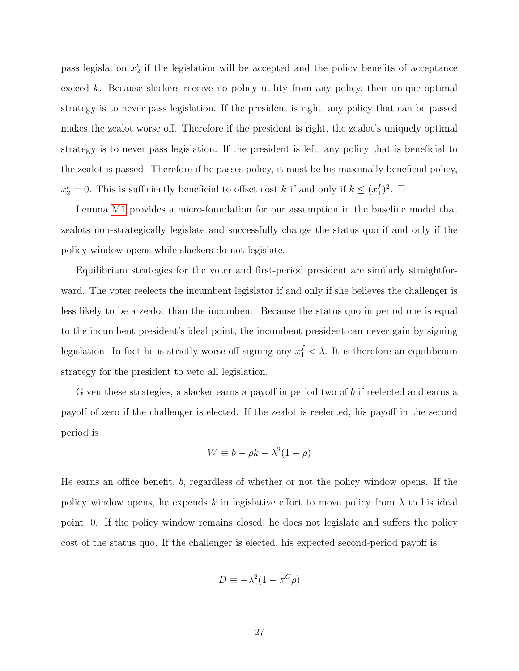pass legislation  $x_2^{\iota}$  if the legislation will be accepted and the policy benefits of acceptance exceed k. Because slackers receive no policy utility from any policy, their unique optimal strategy is to never pass legislation. If the president is right, any policy that can be passed makes the zealot worse off. Therefore if the president is right, the zealot's uniquely optimal strategy is to never pass legislation. If the president is left, any policy that is beneficial to the zealot is passed. Therefore if he passes policy, it must be his maximally beneficial policy,  $x_2^{\iota} = 0$ . This is sufficiently beneficial to offset cost k if and only if  $k \leq (x_1^f)$  $j<sub>1</sub>$ )<sup>2</sup>.  $\Box$ 

Lemma [M1](#page-2-1) provides a micro-foundation for our assumption in the baseline model that zealots non-strategically legislate and successfully change the status quo if and only if the policy window opens while slackers do not legislate.

Equilibrium strategies for the voter and first-period president are similarly straightforward. The voter reelects the incumbent legislator if and only if she believes the challenger is less likely to be a zealot than the incumbent. Because the status quo in period one is equal to the incumbent president's ideal point, the incumbent president can never gain by signing legislation. In fact he is strictly worse off signing any  $x_1^f < \lambda$ . It is therefore an equilibrium strategy for the president to veto all legislation.

Given these strategies, a slacker earns a payoff in period two of b if reelected and earns a payoff of zero if the challenger is elected. If the zealot is reelected, his payoff in the second period is

$$
W \equiv b - \rho k - \lambda^2 (1 - \rho)
$$

He earns an office benefit, b, regardless of whether or not the policy window opens. If the policy window opens, he expends k in legislative effort to move policy from  $\lambda$  to his ideal point, 0. If the policy window remains closed, he does not legislate and suffers the policy cost of the status quo. If the challenger is elected, his expected second-period payoff is

$$
D \equiv -\lambda^2 (1 - \pi^C \rho)
$$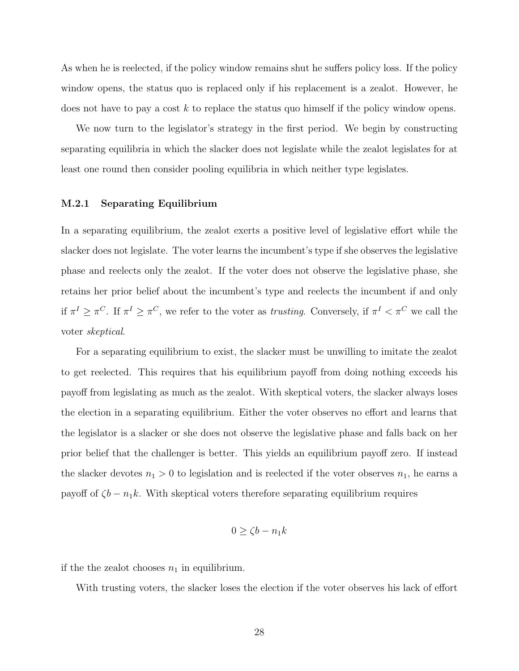As when he is reelected, if the policy window remains shut he suffers policy loss. If the policy window opens, the status quo is replaced only if his replacement is a zealot. However, he does not have to pay a cost  $k$  to replace the status quo himself if the policy window opens.

We now turn to the legislator's strategy in the first period. We begin by constructing separating equilibria in which the slacker does not legislate while the zealot legislates for at least one round then consider pooling equilibria in which neither type legislates.

#### <span id="page-28-0"></span>M.2.1 Separating Equilibrium

In a separating equilibrium, the zealot exerts a positive level of legislative effort while the slacker does not legislate. The voter learns the incumbent's type if she observes the legislative phase and reelects only the zealot. If the voter does not observe the legislative phase, she retains her prior belief about the incumbent's type and reelects the incumbent if and only if  $\pi^I \geq \pi^C$ . If  $\pi^I \geq \pi^C$ , we refer to the voter as *trusting*. Conversely, if  $\pi^I < \pi^C$  we call the voter skeptical.

For a separating equilibrium to exist, the slacker must be unwilling to imitate the zealot to get reelected. This requires that his equilibrium payoff from doing nothing exceeds his payoff from legislating as much as the zealot. With skeptical voters, the slacker always loses the election in a separating equilibrium. Either the voter observes no effort and learns that the legislator is a slacker or she does not observe the legislative phase and falls back on her prior belief that the challenger is better. This yields an equilibrium payoff zero. If instead the slacker devotes  $n_1 > 0$  to legislation and is reelected if the voter observes  $n_1$ , he earns a payoff of  $\zeta b - n_1 k$ . With skeptical voters therefore separating equilibrium requires

$$
0 \ge \zeta b - n_1 k
$$

if the the zealot chooses  $n_1$  in equilibrium.

With trusting voters, the slacker loses the election if the voter observes his lack of effort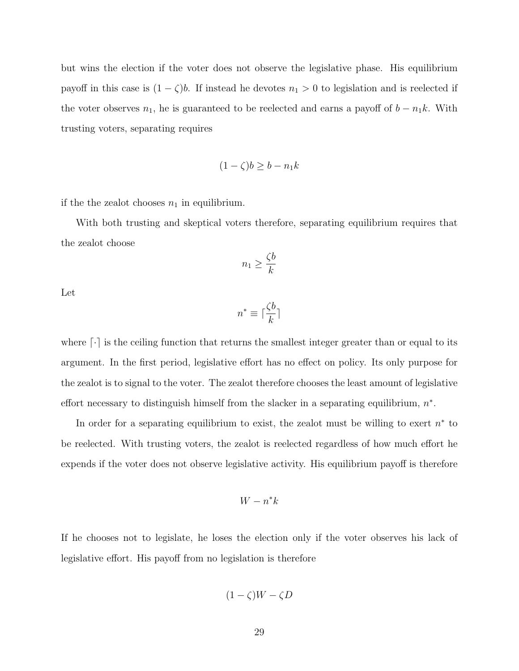but wins the election if the voter does not observe the legislative phase. His equilibrium payoff in this case is  $(1 - \zeta)b$ . If instead he devotes  $n_1 > 0$  to legislation and is reelected if the voter observes  $n_1$ , he is guaranteed to be reelected and earns a payoff of  $b - n_1k$ . With trusting voters, separating requires

$$
(1 - \zeta)b \ge b - n_1k
$$

if the the zealot chooses  $n_1$  in equilibrium.

With both trusting and skeptical voters therefore, separating equilibrium requires that the zealot choose

$$
n_1 \geq \frac{\zeta b}{k}
$$

Let

$$
n^*\equiv \lceil \frac{\zeta b}{k}\rceil
$$

where  $\lvert \cdot \rvert$  is the ceiling function that returns the smallest integer greater than or equal to its argument. In the first period, legislative effort has no effect on policy. Its only purpose for the zealot is to signal to the voter. The zealot therefore chooses the least amount of legislative effort necessary to distinguish himself from the slacker in a separating equilibrium,  $n^*$ .

In order for a separating equilibrium to exist, the zealot must be willing to exert  $n^*$  to be reelected. With trusting voters, the zealot is reelected regardless of how much effort he expends if the voter does not observe legislative activity. His equilibrium payoff is therefore

$$
W - n^*k
$$

If he chooses not to legislate, he loses the election only if the voter observes his lack of legislative effort. His payoff from no legislation is therefore

$$
(1 - \zeta)W - \zeta D
$$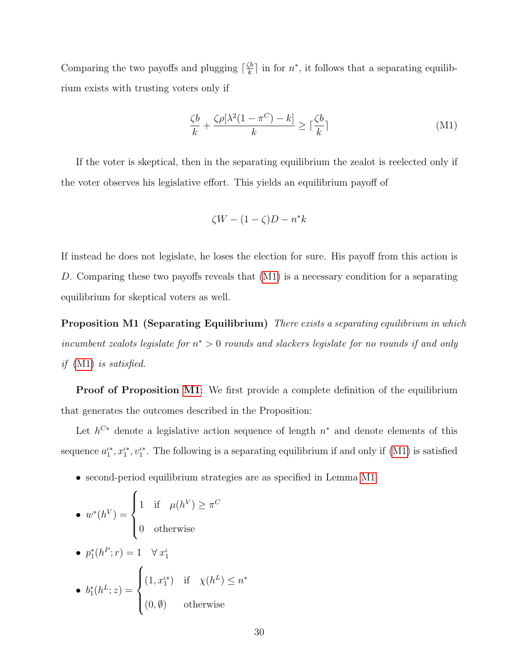Comparing the two payoffs and plugging  $\lceil \frac{\zeta b}{k} \rceil$  $\frac{\zeta b}{k}$  in for  $n^*$ , it follows that a separating equilibrium exists with trusting voters only if

<span id="page-30-0"></span>
$$
\frac{\zeta b}{k} + \frac{\zeta \rho[\lambda^2 (1 - \pi^C) - k]}{k} \ge \lceil \frac{\zeta b}{k} \rceil \tag{M1}
$$

If the voter is skeptical, then in the separating equilibrium the zealot is reelected only if the voter observes his legislative effort. This yields an equilibrium payoff of

$$
\zeta W - (1 - \zeta)D - n^*k
$$

If instead he does not legislate, he loses the election for sure. His payoff from this action is D. Comparing these two payoffs reveals that  $(M1)$  is a necessary condition for a separating equilibrium for skeptical voters as well.

**Proposition M1 (Separating Equilibrium)** There exists a separating equilibrium in which incumbent zealots legislate for  $n^* > 0$  rounds and slackers legislate for no rounds if and only if [\(M1\)](#page-30-0) is satisfied.

**Proof of Proposition [M1](#page-1-3):** We first provide a complete definition of the equilibrium that generates the outcomes described in the Proposition:

Let  $h^{C*}$  denote a legislative action sequence of length  $n^*$  and denote elements of this sequence  $a_1^{\iota*}, x_1^{\iota*}, v_1^{\iota*}$ . The following is a separating equilibrium if and only if [\(M1\)](#page-30-0) is satisfied

• second-period equilibrium strategies are as specified in Lemma [M1](#page-2-1)

\n- \n
$$
w^*(h^V) =\n \begin{cases}\n 1 & \text{if } \mu(h^V) \geq \pi^C \\
0 & \text{otherwise}\n \end{cases}
$$
\n
\n- \n
$$
p_1^*(h^P; r) = 1 \quad \forall x_1^t
$$
\n
\n- \n
$$
b_1^*(h^L; z) =\n \begin{cases}\n (1, x_1^{t*}) & \text{if } \chi(h^L) \leq n^* \\
(0, \emptyset) & \text{otherwise}\n \end{cases}
$$
\n
\n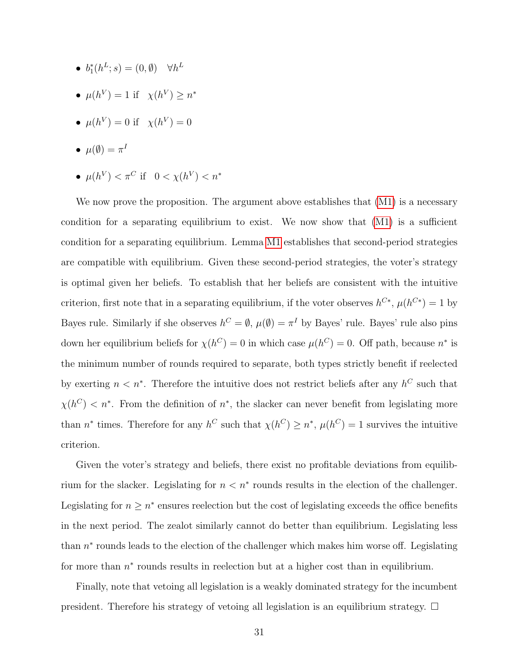- $b_1^*(h^L; s) = (0, \emptyset) \quad \forall h^L$
- $\mu(h^V) = 1$  if  $\chi(h^V) \geq n^*$
- $\mu(h^V) = 0$  if  $\chi(h^V) = 0$
- $\bullet\ \mu(\emptyset)=\pi^I$
- $\mu(h^V) < \pi^C$  if  $0 < \chi(h^V) < n^*$

We now prove the proposition. The argument above establishes that  $(M1)$  is a necessary condition for a separating equilibrium to exist. We now show that [\(M1\)](#page-30-0) is a sufficient condition for a separating equilibrium. Lemma [M1](#page-2-1) establishes that second-period strategies are compatible with equilibrium. Given these second-period strategies, the voter's strategy is optimal given her beliefs. To establish that her beliefs are consistent with the intuitive criterion, first note that in a separating equilibrium, if the voter observes  $h^{C*}$ ,  $\mu(h^{C*}) = 1$  by Bayes rule. Similarly if she observes  $h^C = \emptyset$ ,  $\mu(\emptyset) = \pi^I$  by Bayes' rule. Bayes' rule also pins down her equilibrium beliefs for  $\chi(h^C) = 0$  in which case  $\mu(h^C) = 0$ . Off path, because  $n^*$  is the minimum number of rounds required to separate, both types strictly benefit if reelected by exerting  $n \leq n^*$ . Therefore the intuitive does not restrict beliefs after any  $h^C$  such that  $\chi(h^C) < n^*$ . From the definition of  $n^*$ , the slacker can never benefit from legislating more than  $n^*$  times. Therefore for any  $h^C$  such that  $\chi(h^C) \geq n^*$ ,  $\mu(h^C) = 1$  survives the intuitive criterion.

Given the voter's strategy and beliefs, there exist no profitable deviations from equilibrium for the slacker. Legislating for  $n < n^*$  rounds results in the election of the challenger. Legislating for  $n \geq n^*$  ensures reelection but the cost of legislating exceeds the office benefits in the next period. The zealot similarly cannot do better than equilibrium. Legislating less than  $n^*$  rounds leads to the election of the challenger which makes him worse off. Legislating for more than  $n^*$  rounds results in reelection but at a higher cost than in equilibrium.

Finally, note that vetoing all legislation is a weakly dominated strategy for the incumbent president. Therefore his strategy of vetoing all legislation is an equilibrium strategy.  $\Box$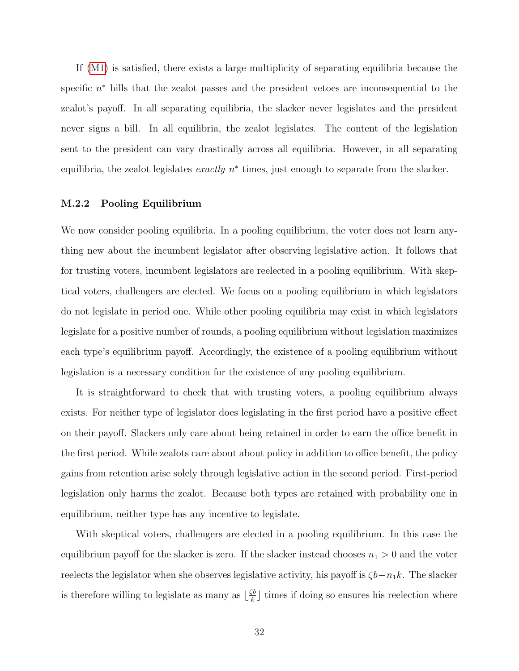If [\(M1\)](#page-30-0) is satisfied, there exists a large multiplicity of separating equilibria because the specific  $n^*$  bills that the zealot passes and the president vetoes are inconsequential to the zealot's payoff. In all separating equilibria, the slacker never legislates and the president never signs a bill. In all equilibria, the zealot legislates. The content of the legislation sent to the president can vary drastically across all equilibria. However, in all separating equilibria, the zealot legislates *exactly*  $n^*$  times, just enough to separate from the slacker.

#### <span id="page-32-0"></span>M.2.2 Pooling Equilibrium

We now consider pooling equilibria. In a pooling equilibrium, the voter does not learn anything new about the incumbent legislator after observing legislative action. It follows that for trusting voters, incumbent legislators are reelected in a pooling equilibrium. With skeptical voters, challengers are elected. We focus on a pooling equilibrium in which legislators do not legislate in period one. While other pooling equilibria may exist in which legislators legislate for a positive number of rounds, a pooling equilibrium without legislation maximizes each type's equilibrium payoff. Accordingly, the existence of a pooling equilibrium without legislation is a necessary condition for the existence of any pooling equilibrium.

It is straightforward to check that with trusting voters, a pooling equilibrium always exists. For neither type of legislator does legislating in the first period have a positive effect on their payoff. Slackers only care about being retained in order to earn the office benefit in the first period. While zealots care about about policy in addition to office benefit, the policy gains from retention arise solely through legislative action in the second period. First-period legislation only harms the zealot. Because both types are retained with probability one in equilibrium, neither type has any incentive to legislate.

With skeptical voters, challengers are elected in a pooling equilibrium. In this case the equilibrium payoff for the slacker is zero. If the slacker instead chooses  $n_1 > 0$  and the voter reelects the legislator when she observes legislative activity, his payoff is  $\zeta b-n_1k$ . The slacker is therefore willing to legislate as many as  $\frac{\zeta b}{k}$  $\frac{\zeta_b}{k}$  times if doing so ensures his reelection where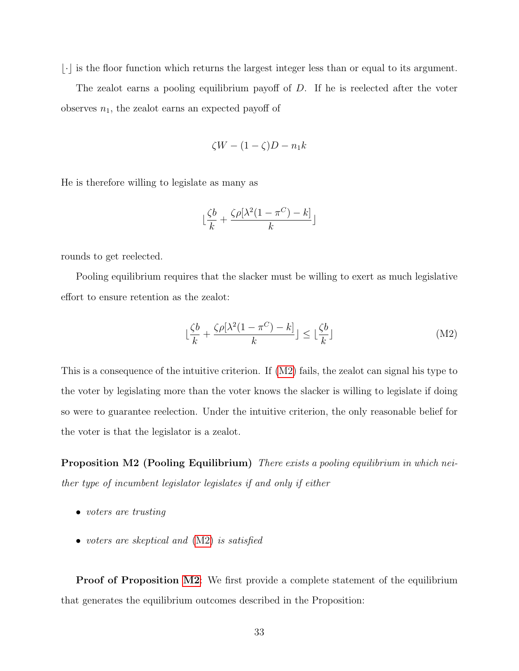$\lfloor \cdot \rfloor$  is the floor function which returns the largest integer less than or equal to its argument.

The zealot earns a pooling equilibrium payoff of D. If he is reelected after the voter observes  $n_1$ , the zealot earns an expected payoff of

$$
\zeta W - (1 - \zeta)D - n_1 k
$$

He is therefore willing to legislate as many as

$$
\lfloor \frac{\zeta b}{k} + \frac{\zeta \rho[\lambda^2 (1 - \pi^C) - k]}{k} \rfloor
$$

rounds to get reelected.

Pooling equilibrium requires that the slacker must be willing to exert as much legislative effort to ensure retention as the zealot:

<span id="page-33-0"></span>
$$
\lfloor \frac{\zeta b}{k} + \frac{\zeta \rho[\lambda^2 (1 - \pi^C) - k]}{k} \rfloor \le \lfloor \frac{\zeta b}{k} \rfloor \tag{M2}
$$

This is a consequence of the intuitive criterion. If [\(M2\)](#page-33-0) fails, the zealot can signal his type to the voter by legislating more than the voter knows the slacker is willing to legislate if doing so were to guarantee reelection. Under the intuitive criterion, the only reasonable belief for the voter is that the legislator is a zealot.

Proposition M2 (Pooling Equilibrium) There exists a pooling equilibrium in which neither type of incumbent legislator legislates if and only if either

- voters are trusting
- voters are skeptical and  $(M2)$  is satisfied

**Proof of Proposition [M2](#page-2-2):** We first provide a complete statement of the equilibrium that generates the equilibrium outcomes described in the Proposition: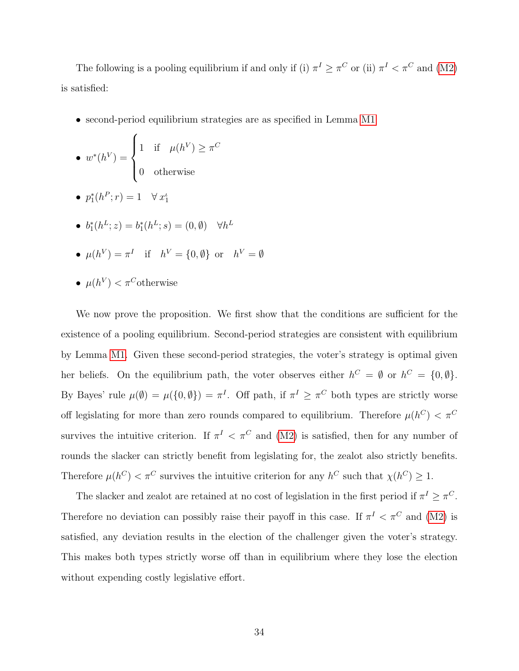The following is a pooling equilibrium if and only if (i)  $\pi^I \geq \pi^C$  or (ii)  $\pi^I < \pi^C$  and [\(M2\)](#page-33-0) is satisfied:

• second-period equilibrium strategies are as specified in Lemma [M1](#page-2-1)

• 
$$
w^*(h^V) = \begin{cases} 1 & \text{if } \mu(h^V) \ge \pi^C \\ 0 & \text{otherwise} \end{cases}
$$

- $p_1^*(h^P; r) = 1 \quad \forall x_1^{\iota}$
- $b_1^*(h^L; z) = b_1^*(h^L; s) = (0, \emptyset) \quad \forall h^L$
- $\mu(h^V) = \pi^I$  if  $h^V = \{0, \emptyset\}$  or  $h^V = \emptyset$
- $\mu(h^V) < \pi^C$ otherwise

We now prove the proposition. We first show that the conditions are sufficient for the existence of a pooling equilibrium. Second-period strategies are consistent with equilibrium by Lemma [M1.](#page-2-1) Given these second-period strategies, the voter's strategy is optimal given her beliefs. On the equilibrium path, the voter observes either  $h^C = \emptyset$  or  $h^C = \{0, \emptyset\}.$ By Bayes' rule  $\mu(\emptyset) = \mu(\{0,\emptyset\}) = \pi^I$ . Off path, if  $\pi^I \geq \pi^C$  both types are strictly worse off legislating for more than zero rounds compared to equilibrium. Therefore  $\mu(h^C) < \pi^C$ survives the intuitive criterion. If  $\pi^I < \pi^C$  and [\(M2\)](#page-33-0) is satisfied, then for any number of rounds the slacker can strictly benefit from legislating for, the zealot also strictly benefits. Therefore  $\mu(h^C) < \pi^C$  survives the intuitive criterion for any  $h^C$  such that  $\chi(h^C) \geq 1$ .

The slacker and zealot are retained at no cost of legislation in the first period if  $\pi^I \geq \pi^C$ . Therefore no deviation can possibly raise their payoff in this case. If  $\pi^I < \pi^C$  and [\(M2\)](#page-33-0) is satisfied, any deviation results in the election of the challenger given the voter's strategy. This makes both types strictly worse off than in equilibrium where they lose the election without expending costly legislative effort.